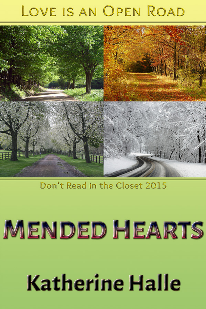## LOVE IS AN OPEN ROAD



## Don't Read in the Closet 2015

## MENDED HEARTS

# **Katherine Halle**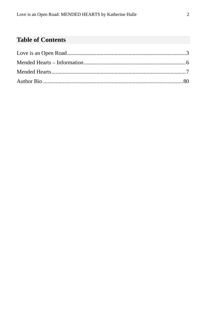#### **Table of Contents**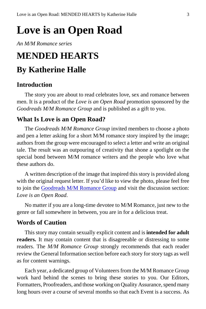## <span id="page-2-0"></span>**Love is an Open Road**

*An M/M Romance series*

### **MENDED HEARTS**

#### **By Katherine Halle**

#### **Introduction**

The story you are about to read celebrates love, sex and romance between men. It is a product of the *Love is an Open Road* promotion sponsored by the *Goodreads M/M Romance Group* and is published as a gift to you.

#### **What Is Love is an Open Road?**

The *Goodreads M/M Romance Group* invited members to choose a photo and pen a letter asking for a short M/M romance story inspired by the image; authors from the group were encouraged to select a letter and write an original tale. The result was an outpouring of creativity that shone a spotlight on the special bond between M/M romance writers and the people who love what these authors do.

A written description of the image that inspired this story is provided along with the original request letter. If you'd like to view the photo, please feel free to join the [Goodreads M/M Romance Group](http://www.goodreads.com/group/show/20149-m-m-romance) and visit the discussion section: *Love is an Open Road*.

No matter if you are a long-time devotee to M/M Romance, just new to the genre or fall somewhere in between, you are in for a delicious treat.

#### **Words of Caution**

This story may contain sexually explicit content and is **intended for adult readers.** It may contain content that is disagreeable or distressing to some readers. The *M/M Romance Group* strongly recommends that each reader review the General Information section before each story for story tags as well as for content warnings.

Each year, a dedicated group of Volunteers from the M/M Romance Group work hard behind the scenes to bring these stories to you. Our Editors, Formatters, Proofreaders, and those working on Quality Assurance, spend many long hours over a course of several months so that each Event is a success. As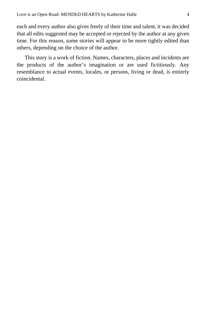each and every author also gives freely of their time and talent, it was decided that all edits suggested may be accepted or rejected by the author at any given time. For this reason, some stories will appear to be more tightly edited than others, depending on the choice of the author.

This story is a work of fiction. Names, characters, places and incidents are the products of the author's imagination or are used fictitiously. Any resemblance to actual events, locales, or persons, living or dead, is entirely coincidental.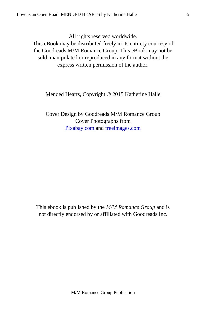All rights reserved worldwide.

This eBook may be distributed freely in its entirety courtesy of the Goodreads M/M Romance Group. This eBook may not be sold, manipulated or reproduced in any format without the express written permission of the author.

Mended Hearts, Copyright © 2015 Katherine Halle

Cover Design by Goodreads M/M Romance Group Cover Photographs from [Pixabay.com](http://pixabay.com/en/) and [freeimages.com](http://www.freeimages.com/)

<span id="page-4-0"></span>This ebook is published by the *M/M Romance Group* and is not directly endorsed by or affiliated with Goodreads Inc.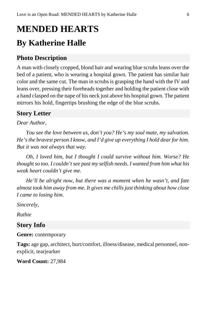## **MENDED HEARTS By Katherine Halle**

#### **Photo Description**

A man with closely cropped, blond hair and wearing blue scrubs leans over the bed of a patient, who is wearing a hospital gown. The patient has similar hair color and the same cut. The man in scrubs is grasping the hand with the IV and leans over, pressing their foreheads together and holding the patient close with a hand clasped on the nape of his neck just above his hospital gown. The patient mirrors his hold, fingertips brushing the edge of the blue scrubs.

#### **Story Letter**

#### *Dear Author,*

*You see the love between us, don't you? He's my soul mate, my salvation. He's the bravest person I know, and I'd give up everything I hold dear for him. But it was not always that way.*

*Oh, I loved him, but I thought I could survive without him. Worse? He thought so too. I couldn't see past my selfish needs. I wanted from him what his weak heart couldn't give me.*

*He'll be alright now, but there was a moment when he wasn't, and fate almost took him away from me. It gives me chills just thinking about how close I came to losing him.*

*Sincerely,*

*Ruthie*

#### **Story Info**

**Genre:** contemporary

**Tags:** age gap, architect, hurt/comfort, illness/disease, medical personnel, nonexplicit, tearjearker

**Word Count:** 27,984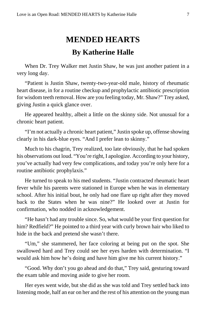### **MENDED HEARTS By Katherine Halle**

<span id="page-6-0"></span>When Dr. Trey Walker met Justin Shaw, he was just another patient in a very long day.

"Patient is Justin Shaw, twenty-two-year-old male, history of rheumatic heart disease, in for a routine checkup and prophylactic antibiotic prescription for wisdom teeth removal. How are you feeling today, Mr. Shaw?" Trey asked, giving Justin a quick glance over.

He appeared healthy, albeit a little on the skinny side. Not unusual for a chronic heart patient.

"I'm not actually a chronic heart patient," Justin spoke up, offense showing clearly in his dark-blue eyes. "And I prefer lean to skinny."

Much to his chagrin, Trey realized, too late obviously, that he had spoken his observations out loud. "You're right, I apologize. According to your history, you've actually had very few complications, and today you're only here for a routine antibiotic prophylaxis."

He turned to speak to his med students. "Justin contracted rheumatic heart fever while his parents were stationed in Europe when he was in elementary school. After his initial bout, he only had one flare up right after they moved back to the States when he was nine?" He looked over at Justin for confirmation, who nodded in acknowledgement.

"He hasn't had any trouble since. So, what would be your first question for him? Redfield?" He pointed to a third year with curly brown hair who liked to hide in the back and pretend she wasn't there.

"Um," she stammered, her face coloring at being put on the spot. She swallowed hard and Trey could see her eyes harden with determination. "I would ask him how he's doing and have him give me his current history."

"Good. Why don't you go ahead and do that," Trey said, gesturing toward the exam table and moving aside to give her room.

Her eyes went wide, but she did as she was told and Trey settled back into listening mode, half an ear on her and the rest of his attention on the young man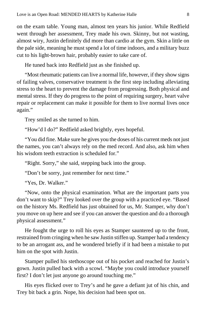on the exam table. Young man, almost ten years his junior. While Redfield went through her assessment, Trey made his own. Skinny, but not wasting, almost wiry, Justin definitely did more than cardio at the gym. Skin a little on the pale side, meaning he must spend a lot of time indoors, and a military buzz cut to his light-brown hair, probably easier to take care of.

He tuned back into Redfield just as she finished up.

"Most rheumatic patients can live a normal life, however, if they show signs of failing valves, conservative treatment is the first step including alleviating stress to the heart to prevent the damage from progressing. Both physical and mental stress. If they do progress to the point of requiring surgery, heart valve repair or replacement can make it possible for them to live normal lives once again."

Trey smiled as she turned to him.

"How'd I do?" Redfield asked brightly, eyes hopeful.

"You did fine. Make sure he gives you the doses of his current meds not just the names, you can't always rely on the med record. And also, ask him when his wisdom teeth extraction is scheduled for."

"Right. Sorry," she said, stepping back into the group.

"Don't be sorry, just remember for next time."

"Yes, Dr. Walker."

"Now, onto the physical examination. What are the important parts you don't want to skip?" Trey looked over the group with a practiced eye. "Based on the history Ms. Redfield has just obtained for us, Mr. Stamper, why don't you move on up here and see if you can answer the question and do a thorough physical assessment."

He fought the urge to roll his eyes as Stamper sauntered up to the front, restrained from cringing when he saw Justin stiffen up. Stamper had a tendency to be an arrogant ass, and he wondered briefly if it had been a mistake to put him on the spot with Justin.

Stamper pulled his stethoscope out of his pocket and reached for Justin's gown. Justin pulled back with a scowl. "Maybe you could introduce yourself first? I don't let just anyone go around touching me."

His eyes flicked over to Trey's and he gave a defiant jut of his chin, and Trey bit back a grin. Nope, his decision had been spot on.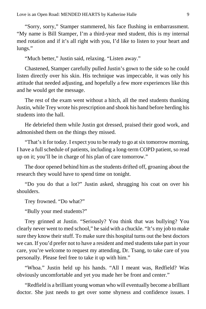"Sorry, sorry," Stamper stammered, his face flushing in embarrassment. "My name is Bill Stamper, I'm a third-year med student, this is my internal med rotation and if it's all right with you, I'd like to listen to your heart and lungs."

"Much better," Justin said, relaxing. "Listen away."

Chastened, Stamper carefully pulled Justin's gown to the side so he could listen directly over his skin. His technique was impeccable, it was only his attitude that needed adjusting, and hopefully a few more experiences like this and he would get the message.

The rest of the exam went without a hitch, all the med students thanking Justin, while Trey wrote his prescription and shook his hand before herding his students into the hall.

He debriefed them while Justin got dressed, praised their good work, and admonished them on the things they missed.

"That's it for today. I expect you to be ready to go at six tomorrow morning, I have a full schedule of patients, including a long-term COPD patient, so read up on it; you'll be in charge of his plan of care tomorrow."

The door opened behind him as the students drifted off, groaning about the research they would have to spend time on tonight.

"Do you do that a lot?" Justin asked, shrugging his coat on over his shoulders.

Trey frowned. "Do what?"

"Bully your med students?"

Trey grinned at Justin. "Seriously? You think that was bullying? You clearly never went to med school," he said with a chuckle. "It's my job to make sure they know their stuff. To make sure this hospital turns out the best doctors we can. If you'd prefer not to have a resident and med students take part in your care, you're welcome to request my attending, Dr. Tsang, to take care of you personally. Please feel free to take it up with him."

"Whoa." Justin held up his hands. "All I meant was, Redfield? Was obviously uncomfortable and yet you made her be front and center."

"Redfield is a brilliant young woman who will eventually become a brilliant doctor. She just needs to get over some shyness and confidence issues. I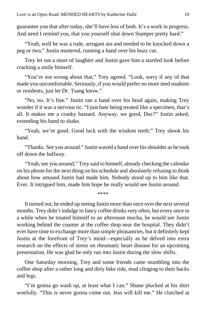guarantee you that after today, she'll have less of both. It's a work in progress. And need I remind you, that you yourself shut down Stamper pretty hard."

"Yeah, well he was a rude, arrogant ass and needed to be knocked down a peg or two," Justin muttered, running a hand over his buzz cut.

Trey let out a snort of laughter and Justin gave him a startled look before cracking a smile himself.

"You're not wrong about that," Trey agreed. "Look, sorry if any of that made you uncomfortable. Seriously, if you would prefer no more med students or residents, just let Dr. Tsang know."

"No, no. It's fine." Justin ran a hand over his head again, making Trey wonder if it was a nervous tic. "I just hate being treated like a specimen, that's all. It makes me a cranky bastard. Anyway, we good, Doc?" Justin asked, extending his hand to shake.

"Yeah, we're good. Good luck with the wisdom teeth." Trey shook his hand.

"Thanks. See you around." Justin waved a hand over his shoulder as he took off down the hallway.

"Yeah, see you around," Trey said to himself, already checking the calendar on his phone for the next thing on his schedule and absolutely refusing to think about how amused Justin had made him. Nobody stood up to him like that. Ever. It intrigued him, made him hope he really would see Justin around.

\*\*\*\*

It turned out, he ended up seeing Justin more than once over the next several months. Trey didn't indulge in fancy coffee drinks very often, but every once in a while when he treated himself to an afternoon mocha, he would see Justin working behind the counter at the coffee shop near the hospital. They didn't ever have time to exchange more than simple pleasantries, but it definitely kept Justin at the forefront of Trey's mind—especially as he delved into extra research on the effects of stress on rheumatic heart disease for an upcoming presentation. He was glad he only ran into Justin during the slow shifts.

One Saturday morning, Trey and some friends came stumbling into the coffee shop after a rather long and dirty bike ride, mud clinging to their backs and legs.

"I'm gonna go wash up, at least what I can." Shane plucked at his shirt woefully. "This is never gonna come out. Jess will kill me." He clutched at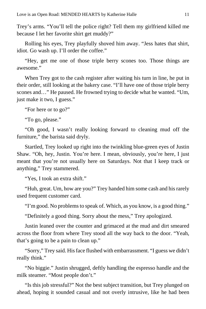Trey's arms. "You'll tell the police right? Tell them my girlfriend killed me because I let her favorite shirt get muddy?"

Rolling his eyes, Trey playfully shoved him away. "Jess hates that shirt, idiot. Go wash up. I'll order the coffee."

"Hey, get me one of those triple berry scones too. Those things are awesome."

When Trey got to the cash register after waiting his turn in line, he put in their order, still looking at the bakery case. "I'll have one of those triple berry scones and…" He paused. He frowned trying to decide what he wanted. "Um, just make it two, I guess."

"For here or to go?"

"To go, please."

"Oh good, I wasn't really looking forward to cleaning mud off the furniture," the barista said dryly.

Startled, Trey looked up right into the twinkling blue-green eyes of Justin Shaw. "Oh, hey, Justin. You're here. I mean, obviously, you're here, I just meant that you're not usually here on Saturdays. Not that I keep track or anything," Trey stammered.

"Yes, I took an extra shift."

"Huh, great. Um, how are you?" Trey handed him some cash and his rarely used frequent customer card.

"I'm good. No problems to speak of. Which, as you know, is a good thing."

"Definitely a good thing. Sorry about the mess," Trey apologized.

Justin leaned over the counter and grimaced at the mud and dirt smeared across the floor from where Trey stood all the way back to the door. "Yeah, that's going to be a pain to clean up."

"Sorry," Trey said. His face flushed with embarrassment. "I guess we didn't really think."

"No biggie." Justin shrugged, deftly handling the espresso handle and the milk steamer. "Most people don't."

"Is this job stressful?" Not the best subject transition, but Trey plunged on ahead, hoping it sounded casual and not overly intrusive, like he had been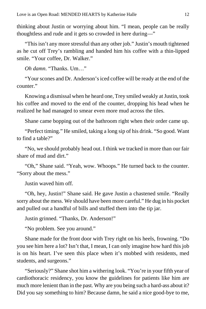thinking about Justin or worrying about him. "I mean, people can be really thoughtless and rude and it gets so crowded in here during—"

"This isn't any more stressful than any other job." Justin's mouth tightened as he cut off Trey's rambling and handed him his coffee with a thin-lipped smile. "Your coffee, Dr. Walker."

*Oh damn*. "Thanks. Um…"

"Your scones and Dr. Anderson's iced coffee will be ready at the end of the counter."

Knowing a dismissal when he heard one, Trey smiled weakly at Justin, took his coffee and moved to the end of the counter, dropping his head when he realized he had managed to smear even more mud across the tiles.

Shane came bopping out of the bathroom right when their order came up.

"Perfect timing." He smiled, taking a long sip of his drink. "So good. Want to find a table?"

"No, we should probably head out. I think we tracked in more than our fair share of mud and dirt."

"Oh," Shane said. "Yeah, wow. Whoops." He turned back to the counter. "Sorry about the mess."

Justin waved him off.

"Oh, hey, Justin!" Shane said. He gave Justin a chastened smile. "Really sorry about the mess. We should have been more careful." He dug in his pocket and pulled out a handful of bills and stuffed them into the tip jar.

Justin grinned. "Thanks, Dr. Anderson!"

"No problem. See you around."

Shane made for the front door with Trey right on his heels, frowning. "Do you see him here a lot? Isn't that, I mean, I can only imagine how hard this job is on his heart. I've seen this place when it's mobbed with residents, med students, and surgeons."

"Seriously?" Shane shot him a withering look. "You're in your fifth year of cardiothoracic residency, you know the guidelines for patients like him are much more lenient than in the past. Why are you being such a hard-ass about it? Did you say something to him? Because damn, he said a nice good-bye to me,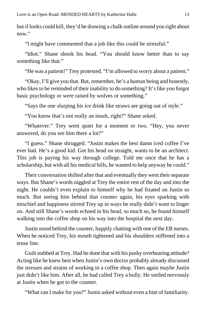but if looks could kill, they'd be drawing a chalk outline around you right about now."

"I might have commented that a job like this could be stressful."

"Idiot." Shane shook his head. "You should know better than to say something like that."

"He was a patient!" Trey protested. "I'm allowed to worry about a patient."

"Okay, I'll give you that. But, remember, he's a human being and honestly, who likes to be reminded of their inability to do something? It's like you forgot basic psychology or were raised by wolves or something."

"Says the one slurping his ice drink like straws are going out of style."

"You know that's not really an insult, right?" Shane asked.

"Whatever." Trey went quiet for a moment or two. "Hey, you never answered, do you see him there a lot?"

"I guess." Shane shrugged. "Justin makes the best damn iced coffee I've ever had. He's a good kid. Got his head on straight, wants to be an architect. This job is paying his way through college. Told me once that he has a scholarship, but with all his medical bills, he wanted to help anyway he could."

Their conversation shifted after that and eventually they went their separate ways. But Shane's words niggled at Trey the entire rest of the day and into the night. He couldn't even explain to himself why he had fixated on Justin so much. But seeing him behind that counter again, his eyes sparking with mischief and happiness stirred Trey up in ways he really didn't want to linger on. And still Shane's words echoed in his head, so much so, he found himself walking into the coffee shop on his way into the hospital the next day.

Justin stood behind the counter, happily chatting with one of the ER nurses. When he noticed Trey, his mouth tightened and his shoulders stiffened into a tense line.

Guilt stabbed at Trey. Had he done that with his pushy overbearing attitude? Acting like he knew best when Justin's own doctor probably already discussed the stresses and strains of working in a coffee shop. Then again maybe Justin just didn't like him. After all, he had called Trey a bully. He smiled nervously at Justin when he got to the counter.

"What can I make for you?" Justin asked without even a hint of familiarity.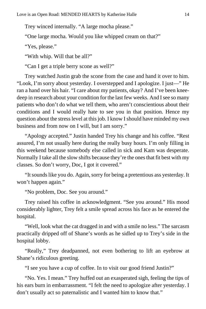Trey winced internally. "A large mocha please."

"One large mocha. Would you like whipped cream on that?"

"Yes, please."

"With whip. Will that be all?"

"Can I get a triple berry scone as well?"

Trey watched Justin grab the scone from the case and hand it over to him. "Look, I'm sorry about yesterday. I overstepped and I apologize. I just—" He ran a hand over his hair. "I care about my patients, okay? And I've been kneedeep in research about your condition for the last few weeks. And I see so many patients who don't do what we tell them, who aren't conscientious about their conditions and I would really hate to see you in that position. Hence my question about the stress level at this job. I know I should have minded my own business and from now on I will, but I am sorry."

"Apology accepted." Justin handed Trey his change and his coffee. "Rest assured, I'm not usually here during the really busy hours. I'm only filling in this weekend because somebody else called in sick and Kam was desperate. Normally I take all the slow shifts because they're the ones that fit best with my classes. So don't worry, Doc, I got it covered."

"It sounds like you do. Again, sorry for being a pretentious ass yesterday. It won't happen again."

"No problem, Doc. See you around."

Trey raised his coffee in acknowledgment. "See you around." His mood considerably lighter, Trey felt a smile spread across his face as he entered the hospital.

"Well, look what the cat dragged in and with a smile no less." The sarcasm practically dripped off of Shane's words as he sidled up to Trey's side in the hospital lobby.

"Really," Trey deadpanned, not even bothering to lift an eyebrow at Shane's ridiculous greeting.

"I see you have a cup of coffee. In to visit our good friend Justin?"

"No. Yes. I mean." Trey huffed out an exasperated sigh, feeling the tips of his ears burn in embarrassment. "I felt the need to apologize after yesterday. I don't usually act so paternalistic and I wanted him to know that."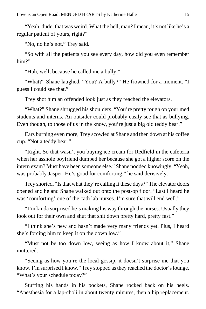"Yeah, dude, that was weird. What the hell, man? I mean, it's not like he's a regular patient of yours, right?"

"No, no he's not," Trey said.

"So with all the patients you see every day, how did you even remember him?"

"Huh, well, because he called me a bully."

"What?" Shane laughed. "You? A bully?" He frowned for a moment. "I guess I could see that."

Trey shot him an offended look just as they reached the elevators.

"What?" Shane shrugged his shoulders. "You're pretty tough on your med students and interns. An outsider could probably easily see that as bullying. Even though, to those of us in the know, you're just a big old teddy bear."

Ears burning even more, Trey scowled at Shane and then down at his coffee cup. "Not a teddy bear."

"Right. So that wasn't you buying ice cream for Redfield in the cafeteria when her asshole boyfriend dumped her because she got a higher score on the intern exam? Must have been someone else." Shane nodded knowingly. "Yeah, was probably Jasper. He's good for comforting," he said derisively.

Trey snorted. "Is that what they're calling it these days?" The elevator doors opened and he and Shane walked out onto the post-op floor. "Last I heard he was 'comforting' one of the cath lab nurses. I'm sure that will end well."

"I'm kinda surprised he's making his way through the nurses. Usually they look out for their own and shut that shit down pretty hard, pretty fast."

"I think she's new and hasn't made very many friends yet. Plus, I heard she's forcing him to keep it on the down low."

"Must not be too down low, seeing as how I know about it," Shane muttered.

"Seeing as how you're the local gossip, it doesn't surprise me that you know. I'm surprised I know." Trey stopped as they reached the doctor's lounge. "What's your schedule today?"

Stuffing his hands in his pockets, Shane rocked back on his heels. "Anesthesia for a lap-choli in about twenty minutes, then a hip replacement.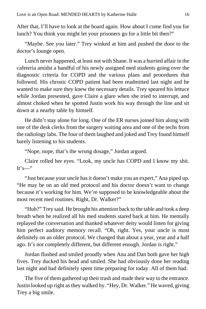After that, I'll have to look at the board again. How about I come find you for lunch? You think you might let your prisoners go for a little bit then?"

"Maybe. See you later." Trey winked at him and pushed the door to the doctor's lounge open.

Lunch never happened, at least not with Shane. It was a hurried affair in the cafeteria amidst a handful of his newly assigned med students going over the diagnostic criteria for COPD and the various plans and procedures that followed. His chronic COPD patient had been readmitted last night and he wanted to make sure they knew the necessary details. Trey speared his lettuce while Jordan presented, gave Claire a glare when she tried to interrupt, and almost choked when he spotted Justin work his way through the line and sit down at a nearby table by himself.

He didn't stay alone for long. One of the ER nurses joined him along with one of the desk clerks from the surgery waiting area and one of the techs from the radiology labs. The four of them laughed and joked and Trey found himself barely listening to his students.

"Nope, nope, that's the wrong dosage," Jordan argued.

Claire rolled her eyes. "Look, my uncle has COPD and I know my shit.  $It's—"$ 

"Just because your uncle has it doesn't make you an expert," Ana piped up. "He may be on an old med protocol and his doctor doesn't want to change because it's working for him. We're supposed to be knowledgeable about the most recent med routines. Right, Dr. Walker?"

"Huh?" Trey said. He brought his attention back to the table and took a deep breath when he realized all his med students stared back at him. He mentally replayed the conversation and thanked whatever deity would listen for giving him perfect auditory memory recall. "Oh, right. Yes, your uncle is most definitely on an older protocol. We changed that about a year, year and a half ago. It's not completely different, but different enough. Jordan is right."

Jordan flushed and smiled proudly when Ana and Dan both gave her high fives. Trey ducked his head and smiled. She had obviously done her reading last night and had definitely spent time preparing for today. All of them had.

The five of them gathered up their trash and made their way to the entrance. Justin looked up right as they walked by. "Hey, Dr. Walker." He waved, giving Trey a big smile.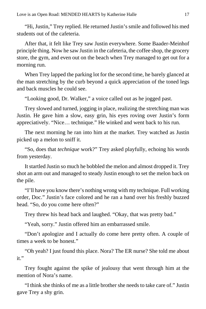"Hi, Justin," Trey replied. He returned Justin's smile and followed his med students out of the cafeteria.

After that, it felt like Trey saw Justin everywhere. Some Baader-Meinhof principle thing. Now he saw Justin in the cafeteria, the coffee shop, the grocery store, the gym, and even out on the beach when Trey managed to get out for a morning run.

When Trey lapped the parking lot for the second time, he barely glanced at the man stretching by the curb beyond a quick appreciation of the toned legs and back muscles he could see.

"Looking good, Dr. Walker," a voice called out as he jogged past.

Trey slowed and turned, jogging in place, realizing the stretching man was Justin. He gave him a slow, easy grin, his eyes roving over Justin's form appreciatively. "Nice… technique." He winked and went back to his run.

The next morning he ran into him at the market. Trey watched as Justin picked up a melon to sniff it.

"So, does that *technique* work?" Trey asked playfully, echoing his words from yesterday.

It startled Justin so much he bobbled the melon and almost dropped it. Trey shot an arm out and managed to steady Justin enough to set the melon back on the pile.

"I'll have you know there's nothing wrong with my technique. Full working order, Doc." Justin's face colored and he ran a hand over his freshly buzzed head. "So, do you come here often?"

Trey threw his head back and laughed. "Okay, that was pretty bad."

"Yeah, sorry." Justin offered him an embarrassed smile.

"Don't apologize and I actually do come here pretty often. A couple of times a week to be honest."

"Oh yeah? I just found this place. Nora? The ER nurse? She told me about it."

Trey fought against the spike of jealousy that went through him at the mention of Nora's name.

"I think she thinks of me as a little brother she needs to take care of." Justin gave Trey a shy grin.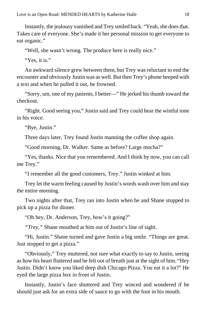Instantly, the jealousy vanished and Trey smiled back. "Yeah, she does that. Takes care of everyone. She's made it her personal mission to get everyone to eat organic."

"Well, she wasn't wrong. The produce here is really nice."

"Yes, it is."

An awkward silence grew between them, but Trey was reluctant to end the encounter and obviously Justin was as well. But then Trey's phone beeped with a text and when he pulled it out, he frowned.

"Sorry, um, one of my patients, I better—" He jerked his thumb toward the checkout.

"Right. Good seeing you," Justin said and Trey could hear the wistful tone in his voice.

"Bye, Justin."

Three days later, Trey found Justin manning the coffee shop again.

"Good morning, Dr. Walker. Same as before? Large mocha?"

"Yes, thanks. Nice that you remembered. And I think by now, you can call me Trey."

"I remember all the good customers, Trey." Justin winked at him.

Trey let the warm feeling caused by Justin's words wash over him and stay the entire morning.

Two nights after that, Trey ran into Justin when he and Shane stopped to pick up a pizza for dinner.

"Oh hey, Dr. Anderson, Trey, how's it going?"

*"Trey,"* Shane mouthed at him out of Justin's line of sight.

"Hi, Justin." Shane turned and gave Justin a big smile. "Things are great. Just stopped to get a pizza."

"Obviously," Trey muttered, not sure what exactly to say to Justin, seeing as how his heart fluttered and he felt out of breath just at the sight of him. "Hey Justin. Didn't know you liked deep dish Chicago Pizza. You eat it a lot?" He eyed the large pizza box in front of Justin.

Instantly, Justin's face shuttered and Trey winced and wondered if he should just ask for an extra side of sauce to go with the foot in his mouth.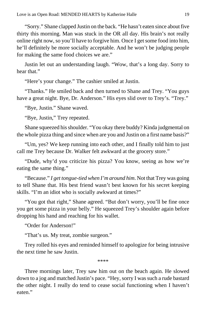"Sorry." Shane clapped Justin on the back. "He hasn't eaten since about five thirty this morning. Man was stuck in the OR all day. His brain's not really online right now, so you'll have to forgive him. Once I get some food into him, he'll definitely be more socially acceptable. And he won't be judging people for making the same food choices we are."

Justin let out an understanding laugh. "Wow, that's a long day. Sorry to hear that."

"Here's your change." The cashier smiled at Justin.

"Thanks." He smiled back and then turned to Shane and Trey. "You guys have a great night. Bye, Dr. Anderson." His eyes slid over to Trey's. "Trey."

"Bye, Justin." Shane waved.

"Bye, Justin," Trey repeated.

Shane squeezed his shoulder. "You okay there buddy? Kinda judgmental on the whole pizza thing and since when are you and Justin on a first name basis?"

"Um, yes? We keep running into each other, and I finally told him to just call me Trey because Dr. Walker felt awkward at the grocery store."

"Dude, why'd you criticize his pizza? You know, seeing as how we're eating the same thing."

"Because." *I get tongue-tied when I'm around him*. Not that Trey was going to tell Shane that. His best friend wasn't best known for his secret keeping skills. "I'm an idiot who is socially awkward at times?"

"You got that right," Shane agreed. "But don't worry, you'll be fine once you get some pizza in your belly." He squeezed Trey's shoulder again before dropping his hand and reaching for his wallet.

"Order for Anderson!"

"That's us. My treat, zombie surgeon."

Trey rolled his eyes and reminded himself to apologize for being intrusive the next time he saw Justin.

\*\*\*\*

Three mornings later, Trey saw him out on the beach again. He slowed down to a jog and matched Justin's pace. "Hey, sorry I was such a rude bastard the other night. I really do tend to cease social functioning when I haven't eaten."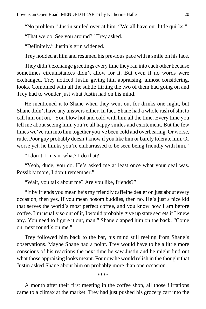"No problem." Justin smiled over at him. "We all have our little quirks."

"That we do. See you around?" Trey asked.

"Definitely." Justin's grin widened.

Trey nodded at him and resumed his previous pace with a smile on his face.

They didn't exchange greetings every time they ran into each other because sometimes circumstances didn't allow for it. But even if no words were exchanged, Trey noticed Justin giving him appraising, almost considering, looks. Combined with all the subtle flirting the two of them had going on and Trey had to wonder just what Justin had on his mind.

He mentioned it to Shane when they went out for drinks one night, but Shane didn't have any answers either. In fact, Shane had a whole rash of shit to call him out on. "You blow hot and cold with him all the time. Every time you tell me about seeing him, you're all happy smiles and excitement. But the few times we've run into him together you've been cold and overbearing. Or worse, rude. Poor guy probably doesn't know if you like him or barely tolerate him. Or worse yet, he thinks you're embarrassed to be seen being friendly with him."

"I don't, I mean, what? I do that?"

"Yeah, dude, you do. He's asked me at least once what your deal was. Possibly more, I don't remember."

"Wait, you talk about me? Are you like, friends?"

"If by friends you mean he's my friendly caffeine dealer on just about every occasion, then yes. If you mean bosom buddies, then no. He's just a nice kid that serves the world's most perfect coffee, and you know how I am before coffee. I'm usually so out of it, I would probably give up state secrets if I knew any. You need to figure it out, man." Shane clapped him on the back. "Come on, next round's on me."

Trey followed him back to the bar, his mind still reeling from Shane's observations. Maybe Shane had a point. Trey would have to be a little more conscious of his reactions the next time he saw Justin and he might find out what those appraising looks meant. For now he would relish in the thought that Justin asked Shane about him on probably more than one occasion.

\*\*\*\*

A month after their first meeting in the coffee shop, all those flirtations came to a climax at the market. Trey had just pushed his grocery cart into the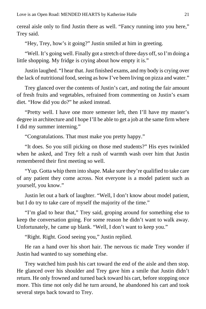cereal aisle only to find Justin there as well. "Fancy running into you here," Trey said.

"Hey, Trey, how's it going?" Justin smiled at him in greeting.

"Well. It's going well. Finally got a stretch of three days off, so I'm doing a little shopping. My fridge is crying about how empty it is."

Justin laughed. "I hear that. Just finished exams, and my body is crying over the lack of nutritional food, seeing as how I've been living on pizza and water."

Trey glanced over the contents of Justin's cart, and noting the fair amount of fresh fruits and vegetables, refrained from commenting on Justin's exam diet. "How did you do?" he asked instead.

"Pretty well. I have one more semester left, then I'll have my master's degree in architecture and I hope I'll be able to get a job at the same firm where I did my summer interning."

"Congratulations. That must make you pretty happy."

"It does. So you still picking on those med students?" His eyes twinkled when he asked, and Trey felt a rush of warmth wash over him that Justin remembered their first meeting so well.

"Yup. Gotta whip them into shape. Make sure they're qualified to take care of any patient they come across. Not everyone is a model patient such as yourself, you know."

Justin let out a bark of laughter. "Well, I don't know about model patient, but I do try to take care of myself the majority of the time."

"I'm glad to hear that," Trey said, groping around for something else to keep the conversation going. For some reason he didn't want to walk away. Unfortunately, he came up blank. "Well, I don't want to keep you."

"Right. Right. Good seeing you," Justin replied.

He ran a hand over his short hair. The nervous tic made Trey wonder if Justin had wanted to say something else.

Trey watched him push his cart toward the end of the aisle and then stop. He glanced over his shoulder and Trey gave him a smile that Justin didn't return. He only frowned and turned back toward his cart, before stopping once more. This time not only did he turn around, he abandoned his cart and took several steps back toward to Trey.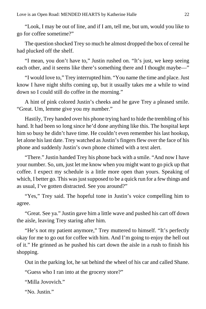"Look, I may be out of line, and if I am, tell me, but um, would you like to go for coffee sometime?"

The question shocked Trey so much he almost dropped the box of cereal he had plucked off the shelf.

"I mean, you don't have to," Justin rushed on. "It's just, we keep seeing each other, and it seems like there's something there and I thought maybe—"

"I would love to," Trey interrupted him. "You name the time and place. Just know I have night shifts coming up, but it usually takes me a while to wind down so I could still do coffee in the morning."

A hint of pink colored Justin's cheeks and he gave Trey a pleased smile. "Great. Um, lemme give you my number."

Hastily, Trey handed over his phone trying hard to hide the trembling of his hand. It had been so long since he'd done anything like this. The hospital kept him so busy he didn't have time. He couldn't even remember his last hookup, let alone his last date. Trey watched as Justin's fingers flew over the face of his phone and suddenly Justin's own phone chimed with a text alert.

"There." Justin handed Trey his phone back with a smile. "And now I have your number. So, um, just let me know when you might want to go pick up that coffee. I expect my schedule is a little more open than yours. Speaking of which, I better go. This was just supposed to be a quick run for a few things and as usual, I've gotten distracted. See you around?"

"Yes," Trey said. The hopeful tone in Justin's voice compelling him to agree.

"Great. See ya." Justin gave him a little wave and pushed his cart off down the aisle, leaving Trey staring after him.

"He's not my patient anymore," Trey muttered to himself. "It's perfectly okay for me to go out for coffee with him. And I'm going to enjoy the hell out of it." He grinned as he pushed his cart down the aisle in a rush to finish his shopping.

Out in the parking lot, he sat behind the wheel of his car and called Shane.

"Guess who I ran into at the grocery store?"

"Milla Jovovich."

"No. Justin."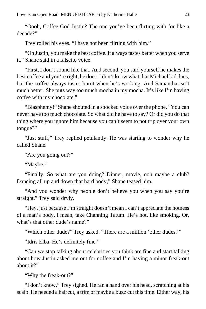"Oooh, Coffee God Justin? The one you've been flirting with for like a decade?"

Trey rolled his eyes. "I have not been flirting with him."

"Oh Justin, you make the best coffee. It always tastes better when you serve it," Shane said in a falsetto voice.

"First, I don't sound like that. And second, you said yourself he makes the best coffee and you're right, he does. I don't know what that Michael kid does, but the coffee always tastes burnt when he's working. And Samantha isn't much better. She puts way too much mocha in my mocha. It's like I'm having coffee with my chocolate."

"Blasphemy!" Shane shouted in a shocked voice over the phone. "You can never have too much chocolate. So what did he have to say? Or did you do that thing where you ignore him because you can't seem to not trip over your own tongue?"

"Just stuff," Trey replied petulantly. He was starting to wonder why he called Shane.

"Are you going out?"

"Maybe."

"Finally. So what are you doing? Dinner, movie, ooh maybe a club? Dancing all up and down that hard body," Shane teased him.

"And you wonder why people don't believe you when you say you're straight," Trey said dryly.

"Hey, just because I'm straight doesn't mean I can't appreciate the hotness of a man's body. I mean, take Channing Tatum. He's hot, like smoking. Or, what's that other dude's name?"

"Which other dude?" Trey asked. "There are a million 'other dudes.'"

"Idris Elba. He's definitely fine."

"Can we stop talking about celebrities you think are fine and start talking about how Justin asked me out for coffee and I'm having a minor freak-out about it?"

"Why the freak-out?"

"I don't know," Trey sighed. He ran a hand over his head, scratching at his scalp. He needed a haircut, a trim or maybe a buzz cut this time. Either way, his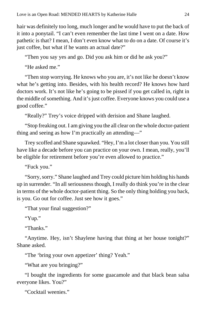hair was definitely too long, much longer and he would have to put the back of it into a ponytail. "I can't even remember the last time I went on a date. How pathetic is that? I mean, I don't even know what to do on a date. Of course it's just coffee, but what if he wants an actual date?"

"Then you say yes and go. Did you ask him or did he ask you?"

"He asked me."

"Then stop worrying. He knows who you are, it's not like he doesn't know what he's getting into. Besides, with his health record? He knows how hard doctors work. It's not like he's going to be pissed if you get called in, right in the middle of something. And it's just coffee. Everyone knows you could use a good coffee."

"Really?" Trey's voice dripped with derision and Shane laughed.

"Stop freaking out. I am giving you the all clear on the whole doctor-patient thing and seeing as how I'm practically an attending—"

Trey scoffed and Shane squawked. "Hey, I'm a lot closer than you. You still have like a decade before you can practice on your own. I mean, really, you'll be eligible for retirement before you're even allowed to practice."

"Fuck you."

"Sorry, sorry." Shane laughed and Trey could picture him holding his hands up in surrender. "In all seriousness though, I really do think you're in the clear in terms of the whole doctor-patient thing. So the only thing holding you back, is you. Go out for coffee. Just see how it goes."

"That your final suggestion?"

"Yup."

"Thanks."

"Anytime. Hey, isn't Shaylene having that thing at her house tonight?" Shane asked.

"The 'bring your own appetizer' thing? Yeah."

"What are you bringing?"

"I bought the ingredients for some guacamole and that black bean salsa everyone likes. You?"

"Cocktail weenies."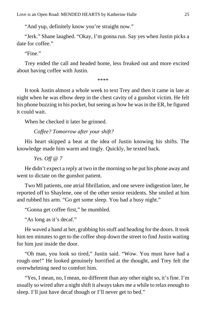"And yup, definitely know you're straight now."

"Jerk." Shane laughed. "Okay, I'm gonna run. Say yes when Justin picks a date for coffee."

"Fine."

Trey ended the call and headed home, less freaked out and more excited about having coffee with Justin.

\*\*\*\*

It took Justin almost a whole week to text Trey and then it came in late at night when he was elbow deep in the chest cavity of a gunshot victim. He felt his phone buzzing in his pocket, but seeing as how he was in the ER, he figured it could wait.

When he checked it later he grinned.

*Coffee? Tomorrow after your shift?*

His heart skipped a beat at the idea of Justin knowing his shifts. The knowledge made him warm and tingly. Quickly, he texted back.

*Yes. Off @ 7*

He didn't expect a reply at two in the morning so he put his phone away and went to dictate on the gunshot patient.

Two MI patients, one atrial fibrillation, and one severe indigestion later, he reported off to Shaylene, one of the other senior residents. She smiled at him and rubbed his arm. "Go get some sleep. You had a busy night."

"Gonna get coffee first," he mumbled.

"As long as it's decaf."

He waved a hand at her, grabbing his stuff and heading for the doors. It took him ten minutes to get to the coffee shop down the street to find Justin waiting for him just inside the door.

"Oh man, you look so tired," Justin said. "Wow. You must have had a rough one!" He looked genuinely horrified at the thought, and Trey felt the overwhelming need to comfort him.

"Yes, I mean, no, I mean, no different than any other night so, it's fine. I'm usually so wired after a night shift it always takes me a while to relax enough to sleep. I'll just have decaf though or I'll never get to bed."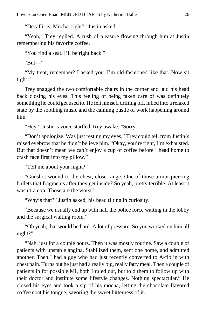"Decaf it is. Mocha, right?" Justin asked.

"Yeah," Trey replied. A rush of pleasure flowing through him at Justin remembering his favorite coffee.

"You find a seat. I'll be right back."

"But—"

"My treat, remember? I asked you. I'm old-fashioned like that. Now sit tight."

Trey snagged the two comfortable chairs in the corner and laid his head back closing his eyes. This feeling of being taken care of was definitely something he could get used to. He felt himself drifting off, lulled into a relaxed state by the soothing music and the calming bustle of work happening around him.

"Hey." Justin's voice startled Trey awake. "Sorry—"

"Don't apologize. Was just resting my eyes." Trey could tell from Justin's raised eyebrow that he didn't believe him. "Okay, you're right, I'm exhausted. But that doesn't mean we can't enjoy a cup of coffee before I head home to crash face first into my pillow."

"Tell me about your night?"

"Gunshot wound to the chest, close range. One of those armor-piercing bullets that fragments after they get inside? So yeah, pretty terrible. At least it wasn't a cop. Those are the worst."

"Why's that?" Justin asked, his head tilting in curiosity.

"Because we usually end up with half the police force waiting in the lobby and the surgical waiting room."

"Oh yeah, that would be hard. A lot of pressure. So you worked on him all night?"

"Nah, just for a couple hours. Then it was mostly routine. Saw a couple of patients with unstable angina. Stabilized them, sent one home, and admitted another. Then I had a guy who had just recently converted to A-fib in with chest pain. Turns out he just had a really big, really fatty meal. Then a couple of patients in for possible MI, both I ruled out, but told them to follow up with their doctor and institute some lifestyle changes. Nothing spectacular." He closed his eyes and took a sip of his mocha, letting the chocolate flavored coffee coat his tongue, savoring the sweet bitterness of it.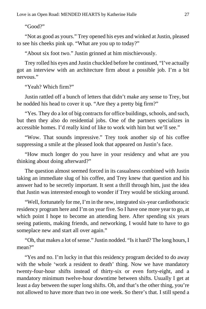"Good?"

"Not as good as yours." Trey opened his eyes and winked at Justin, pleased to see his cheeks pink up. "What are you up to today?"

"About six foot two." Justin grinned at him mischievously.

Trey rolled his eyes and Justin chuckled before he continued, "I've actually got an interview with an architecture firm about a possible job. I'm a bit nervous."

"Yeah? Which firm?"

Justin rattled off a bunch of letters that didn't make any sense to Trey, but he nodded his head to cover it up. "Are they a pretty big firm?"

"Yes. They do a lot of big contracts for office buildings, schools, and such, but then they also do residential jobs. One of the partners specializes in accessible homes. I'd really kind of like to work with him but we'll see."

"Wow. That sounds impressive." Trey took another sip of his coffee suppressing a smile at the pleased look that appeared on Justin's face.

"How much longer do you have in your residency and what are you thinking about doing afterward?"

The question almost seemed forced in its casualness combined with Justin taking an immediate slug of his coffee, and Trey knew that question and his answer had to be secretly important. It sent a thrill through him, just the idea that Justin was interested enough to wonder if Trey would be sticking around.

"Well, fortunately for me, I'm in the new, integrated six-year cardiothoracic residency program here and I'm on year five. So I have one more year to go, at which point I hope to become an attending here. After spending six years seeing patients, making friends, and networking, I would hate to have to go someplace new and start all over again."

"Oh, that makes a lot of sense." Justin nodded. "Is it hard? The long hours, I mean?"

"Yes and no. I'm lucky in that this residency program decided to do away with the whole 'work a resident to death' thing. Now we have mandatory twenty-four-hour shifts instead of thirty-six or even forty-eight, and a mandatory minimum twelve-hour downtime between shifts. Usually I get at least a day between the super long shifts. Oh, and that's the other thing, you're not allowed to have more than two in one week. So there's that. I still spend a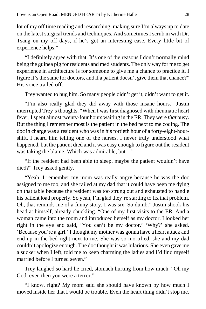lot of my off time reading and researching, making sure I'm always up to date on the latest surgical trends and techniques. And sometimes I scrub in with Dr. Tsang on my off days, if he's got an interesting case. Every little bit of experience helps."

"I definitely agree with that. It's one of the reasons I don't normally mind being the guinea pig for residents and med students. The only way for me to get experience in architecture is for someone to give me a chance to practice it. I figure it's the same for doctors, and if a patient doesn't give them that chance?" His voice trailed off.

Trey wanted to hug him. So many people didn't get it, didn't want to get it.

"I'm also really glad they did away with those insane hours." Justin interrupted Trey's thoughts. "When I was first diagnosed with rheumatic heart fever, I spent almost twenty-four hours waiting in the ER. They were *that* busy. But the thing I remember most is the patient in the bed next to me coding. The doc in charge was a resident who was in his fortieth hour of a forty-eight-hourshift. I heard him telling one of the nurses. I never truly understood what happened, but the patient died and it was easy enough to figure out the resident was taking the blame. Which was admirable, but—"

"If the resident had been able to sleep, maybe the patient wouldn't have died?" Trey asked gently.

"Yeah. I remember my mom was really angry because he was the doc assigned to me too, and she railed at my dad that it could have been me dying on that table because the resident was too strung out and exhausted to handle his patient load properly. So yeah, I'm glad they're starting to fix that problem. Oh, that reminds me of a funny story. I was six. So dumb." Justin shook his head at himself, already chuckling. "One of my first visits to the ER. And a woman came into the room and introduced herself as my doctor. I looked her right in the eye and said, 'You can't be my doctor.' 'Why?' she asked. 'Because you're a girl.' I thought my mother was gonna have a heart attack and end up in the bed right next to me. She was so mortified, she and my dad couldn't apologize enough. The doc thought it was hilarious. She even gave me a sucker when I left, told me to keep charming the ladies and I'd find myself married before I turned seven."

Trey laughed so hard he cried, stomach hurting from how much. "Oh my God, even then you were a terror."

"I know, right? My mom said she should have known by how much I moved inside her that I would be trouble. Even the heart thing didn't stop me.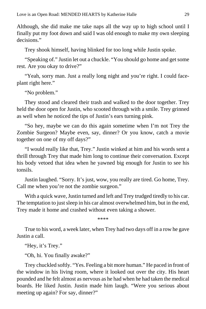Although, she did make me take naps all the way up to high school until I finally put my foot down and said I was old enough to make my own sleeping decisions."

Trey shook himself, having blinked for too long while Justin spoke.

"Speaking of." Justin let out a chuckle. "You should go home and get some rest. Are you okay to drive?"

"Yeah, sorry man. Just a really long night and you're right. I could faceplant right here."

"No problem."

They stood and cleared their trash and walked to the door together. Trey held the door open for Justin, who scooted through with a smile. Trey grinned as well when he noticed the tips of Justin's ears turning pink.

"So hey, maybe we can do this again sometime when I'm not Trey the Zombie Surgeon? Maybe even, say, dinner? Or you know, catch a movie together on one of my off days?"

"I would really like that, Trey." Justin winked at him and his words sent a thrill through Trey that made him long to continue their conversation. Except his body vetoed that idea when he yawned big enough for Justin to see his tonsils.

Justin laughed. "Sorry. It's just, wow, you really are tired. Go home, Trey. Call me when you're not the zombie surgeon."

With a quick wave, Justin turned and left and Trey trudged tiredly to his car. The temptation to just sleep in his car almost overwhelmed him, but in the end, Trey made it home and crashed without even taking a shower.

\*\*\*\*

True to his word, a week later, when Trey had two days off in a row he gave Justin a call.

"Hey, it's Trey."

"Oh, hi. You finally awake?"

Trey chuckled softly. "Yes. Feeling a bit more human." He paced in front of the window in his living room, where it looked out over the city. His heart pounded and he felt almost as nervous as he had when he had taken the medical boards. He liked Justin. Justin made him laugh. "Were you serious about meeting up again? For say, dinner?"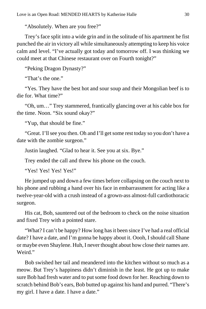"Absolutely. When are you free?"

Trey's face split into a wide grin and in the solitude of his apartment he fist punched the air in victory all while simultaneously attempting to keep his voice calm and level. "I've actually got today and tomorrow off. I was thinking we could meet at that Chinese restaurant over on Fourth tonight?"

"Peking Dragon Dynasty?"

"That's the one."

"Yes. They have the best hot and sour soup and their Mongolian beef is to die for. What time?"

"Oh, um…" Trey stammered, frantically glancing over at his cable box for the time. Noon. "Six sound okay?"

"Yup, that should be fine."

"Great. I'll see you then. Oh and I'll get some rest today so you don't have a date with the zombie surgeon."

Justin laughed. "Glad to hear it. See you at six. Bye."

Trey ended the call and threw his phone on the couch.

"Yes! Yes! Yes! Yes!"

He jumped up and down a few times before collapsing on the couch next to his phone and rubbing a hand over his face in embarrassment for acting like a twelve-year-old with a crush instead of a grown-ass almost-full cardiothoracic surgeon.

His cat, Bob, sauntered out of the bedroom to check on the noise situation and fixed Trey with a pointed stare.

"What? I can't be happy? How long has it been since I've had a real official date? I have a date, and I'm gonna be happy about it. Oooh, I should call Shane or maybe even Shaylene. Huh, I never thought about how close their names are. Weird."

Bob swished her tail and meandered into the kitchen without so much as a meow. But Trey's happiness didn't diminish in the least. He got up to make sure Bob had fresh water and to put some food down for her. Reaching down to scratch behind Bob's ears, Bob butted up against his hand and purred. "There's my girl. I have a date. I have a date."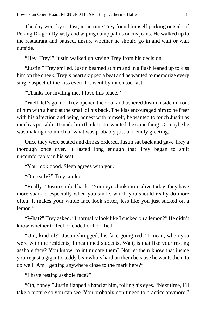The day went by so fast, in no time Trey found himself parking outside of Peking Dragon Dynasty and wiping damp palms on his jeans. He walked up to the restaurant and paused, unsure whether he should go in and wait or wait outside.

"Hey, Trey!" Justin walked up saving Trey from his decision.

"Justin." Trey smiled. Justin beamed at him and in a flash leaned up to kiss him on the cheek. Trey's heart skipped a beat and he wanted to memorize every single aspect of the kiss even if it went by much too fast.

"Thanks for inviting me. I love this place."

"Well, let's go in." Trey opened the door and ushered Justin inside in front of him with a hand at the small of his back. The kiss encouraged him to be freer with his affection and being honest with himself, he wanted to touch Justin as much as possible. It made him think Justin wanted the same thing. Or maybe he was making too much of what was probably just a friendly greeting.

Once they were seated and drinks ordered, Justin sat back and gave Trey a thorough once over. It lasted long enough that Trey began to shift uncomfortably in his seat.

"You look good. Sleep agrees with you."

"Oh really?" Trey smiled.

"Really." Justin smiled back. "Your eyes look more alive today, they have more sparkle, especially when you smile, which you should really do more often. It makes your whole face look softer, less like you just sucked on a lemon."

"What?" Trey asked. "I normally look like I sucked on a lemon?" He didn't know whether to feel offended or horrified.

"Um, kind of?" Justin shrugged, his face going red. "I mean, when you were with the residents, I mean med students. Wait, is that like your resting asshole face? You know, to intimidate them? Not let them know that inside you're just a gigantic teddy bear who's hard on them because he wants them to do well. Am I getting anywhere close to the mark here?"

"I have resting asshole face?"

"Oh, honey." Justin flapped a hand at him, rolling his eyes. "Next time, I'll take a picture so you can see. You probably don't need to practice anymore."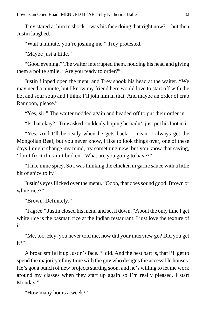Trey stared at him in shock—was his face doing that right now?—but then Justin laughed.

"Wait a minute, you're joshing me," Trey protested.

"Maybe just a little."

"Good evening." The waiter interrupted them, nodding his head and giving them a polite smile. "Are you ready to order?"

Justin flipped open the menu and Trey shook his head at the waiter. "We may need a minute, but I know my friend here would love to start off with the hot and sour soup and I think I'll join him in that. And maybe an order of crab Rangoon, please."

"Yes, sir." The waiter nodded again and headed off to put their order in.

"Is that okay?" Trey asked, suddenly hoping he hadn't just put his foot in it.

"Yes. And I'll be ready when he gets back. I mean, I always get the Mongolian Beef, but you never know, I like to look things over, one of these days I might change my mind, try something new, but you know that saying, 'don't fix it if it ain't broken.' What are you going to have?"

"I like mine spicy. So I was thinking the chicken in garlic sauce with a little bit of spice to it."

Justin's eyes flicked over the menu. "Oooh, that does sound good. Brown or white rice?"

"Brown. Definitely."

"I agree." Justin closed his menu and set it down. "About the only time I get white rice is the basmati rice at the Indian restaurant. I just love the texture of  $it$ "

"Me, too. Hey, you never told me, how did your interview go? Did you get  $it$ ?"

A broad smile lit up Justin's face. "I did. And the best part is, that I'll get to spend the majority of my time with the guy who designs the accessible houses. He's got a bunch of new projects starting soon, and he's willing to let me work around my classes when they start up again so I'm really pleased. I start Monday."

"How many hours a week?"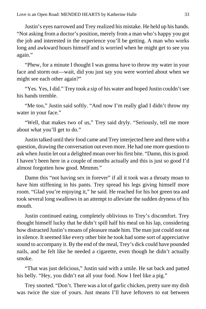Justin's eyes narrowed and Trey realized his mistake. He held up his hands. "Not asking from a doctor's position, merely from a man who's happy you got the job and interested in the experience you'll be getting. A man who works long and awkward hours himself and is worried when he might get to see you again."

"Phew, for a minute I thought I was gonna have to throw my water in your face and storm out—wait, did you just say you were worried about when we might see each other again?"

"Yes. Yes, I did." Trey took a sip of his water and hoped Justin couldn't see his hands tremble.

"Me too," Justin said softly. "And now I'm really glad I didn't throw my water in your face."

"Well, that makes two of us," Trey said dryly. "Seriously, tell me more about what you'll get to do."

Justin talked until their food came and Trey interjected here and there with a question, drawing the conversation out even more. He had one more question to ask when Justin let out a delighted moan over his first bite. "Damn, this is good. I haven't been here in a couple of months actually and this is just so good I'd almost forgotten how good. Mmmm."

Damn this "not having sex in forever" if all it took was a throaty moan to have him stiffening in his pants. Trey spread his legs giving himself more room. "Glad you're enjoying it," he said. He reached for his hot green tea and took several long swallows in an attempt to alleviate the sudden dryness of his mouth.

Justin continued eating, completely oblivious to Trey's discomfort. Trey thought himself lucky that he didn't spill half his meal on his lap, considering how distracted Justin's moans of pleasure made him. The man just could not eat in silence. It seemed like every other bite he took had some sort of appreciative sound to accompany it. By the end of the meal, Trey's dick could have pounded nails, and he felt like he needed a cigarette, even though he didn't actually smoke.

"That was just delicious," Justin said with a smile. He sat back and patted his belly. "Hey, you didn't eat all your food. Now I feel like a pig."

Trey snorted. "Don't. There was a lot of garlic chicken, pretty sure my dish was twice the size of yours. Just means I'll have leftovers to eat between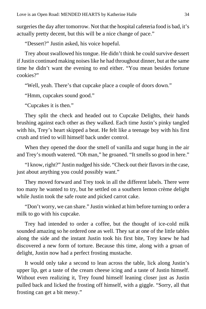surgeries the day after tomorrow. Not that the hospital cafeteria food is bad, it's actually pretty decent, but this will be a nice change of pace."

"Dessert?" Justin asked, his voice hopeful.

Trey about swallowed his tongue. He didn't think he could survive dessert if Justin continued making noises like he had throughout dinner, but at the same time he didn't want the evening to end either. "You mean besides fortune cookies?"

"Well, yeah. There's that cupcake place a couple of doors down."

"Hmm, cupcakes sound good."

"Cupcakes it is then."

They split the check and headed out to Cupcake Delights, their hands brushing against each other as they walked. Each time Justin's pinky tangled with his, Trey's heart skipped a beat. He felt like a teenage boy with his first crush and tried to will himself back under control.

When they opened the door the smell of vanilla and sugar hung in the air and Trey's mouth watered. "Oh man," he groaned. "It smells so good in here."

"I know, right?" Justin nudged his side. "Check out their flavors in the case, just about anything you could possibly want."

They moved forward and Trey took in all the different labels. There were too many he wanted to try, but he settled on a southern lemon crème delight while Justin took the safe route and picked carrot cake.

"Don't worry, we can share." Justin winked at him before turning to order a milk to go with his cupcake.

Trey had intended to order a coffee, but the thought of ice-cold milk sounded amazing so he ordered one as well. They sat at one of the little tables along the side and the instant Justin took his first bite, Trey knew he had discovered a new form of torture. Because this time, along with a groan of delight, Justin now had a perfect frosting mustache.

It would only take a second to lean across the table, lick along Justin's upper lip, get a taste of the cream cheese icing and a taste of Justin himself. Without even realizing it, Trey found himself leaning closer just as Justin pulled back and licked the frosting off himself, with a giggle. "Sorry, all that frosting can get a bit messy."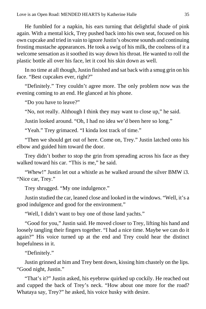He fumbled for a napkin, his ears turning that delightful shade of pink again. With a mental kick, Trey pushed back into his own seat, focused on his own cupcake and tried in vain to ignore Justin's obscene sounds and continuing frosting mustache appearances. He took a swig of his milk, the coolness of it a welcome sensation as it soothed its way down his throat. He wanted to roll the plastic bottle all over his face, let it cool his skin down as well.

In no time at all though, Justin finished and sat back with a smug grin on his face. "Best cupcakes ever, right?"

"Definitely." Trey couldn't agree more. The only problem now was the evening coming to an end. He glanced at his phone.

"Do you have to leave?"

"No, not really. Although I think they may want to close up," he said.

Justin looked around. "Oh, I had no idea we'd been here so long."

"Yeah." Trey grimaced. "I kinda lost track of time."

"Then we should get out of here. Come on, Trey." Justin latched onto his elbow and guided him toward the door.

Trey didn't bother to stop the grin from spreading across his face as they walked toward his car. "This is me." he said.

"Whew!" Justin let out a whistle as he walked around the silver BMW i3. "Nice car, Trey."

Trey shrugged. "My one indulgence."

Justin studied the car, leaned close and looked in the windows. "Well, it's a good indulgence and good for the environment."

"Well, I didn't want to buy one of those land yachts."

"Good for you," Justin said. He moved closer to Trey, lifting his hand and loosely tangling their fingers together. "I had a nice time. Maybe we can do it again?" His voice turned up at the end and Trey could hear the distinct hopefulness in it.

"Definitely."

Justin grinned at him and Trey bent down, kissing him chastely on the lips. "Good night, Justin."

"That's it?" Justin asked, his eyebrow quirked up cockily. He reached out and cupped the back of Trey's neck. "How about one more for the road? Whataya say, Trey?" he asked, his voice husky with desire.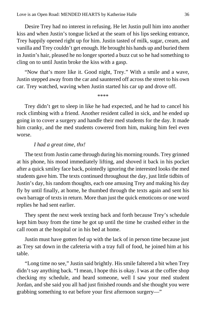Desire Trey had no interest in refusing. He let Justin pull him into another kiss and when Justin's tongue licked at the seam of his lips seeking entrance, Trey happily opened right up for him. Justin tasted of milk, sugar, cream, and vanilla and Trey couldn't get enough. He brought his hands up and buried them in Justin's hair, pleased he no longer sported a buzz cut so he had something to cling on to until Justin broke the kiss with a gasp.

"Now that's more like it. Good night, Trey." With a smile and a wave, Justin stepped away from the car and sauntered off across the street to his own car. Trey watched, waving when Justin started his car up and drove off.

\*\*\*\*

Trey didn't get to sleep in like he had expected, and he had to cancel his rock climbing with a friend. Another resident called in sick, and he ended up going in to cover a surgery and handle their med students for the day. It made him cranky, and the med students cowered from him, making him feel even worse.

#### *I had a great time, thx!*

The text from Justin came through during his morning rounds. Trey grinned at his phone, his mood immediately lifting, and shoved it back in his pocket after a quick smiley face back, pointedly ignoring the interested looks the med students gave him. The texts continued throughout the day, just little tidbits of Justin's day, his random thoughts, each one amusing Trey and making his day fly by until finally, at home, he thumbed through the texts again and sent his own barrage of texts in return. More than just the quick emoticons or one word replies he had sent earlier.

They spent the next week texting back and forth because Trey's schedule kept him busy from the time he got up until the time he crashed either in the call room at the hospital or in his bed at home.

Justin must have gotten fed up with the lack of in person time because just as Trey sat down in the cafeteria with a tray full of food, he joined him at his table.

"Long time no see," Justin said brightly. His smile faltered a bit when Trey didn't say anything back. "I mean, I hope this is okay. I was at the coffee shop checking my schedule, and heard someone, well I saw your med student Jordan, and she said you all had just finished rounds and she thought you were grabbing something to eat before your first afternoon surgery—"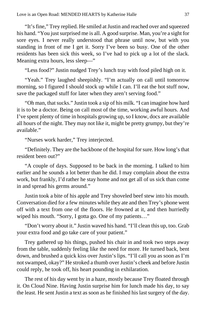"It's fine," Trey replied. He smiled at Justin and reached over and squeezed his hand. "You just surprised me is all. A good surprise. Man, you're a sight for sore eyes. I never really understood that phrase until now, but with you standing in front of me I get it. Sorry I've been so busy. One of the other residents has been sick this week, so I've had to pick up a lot of the slack. Meaning extra hours, less sleep—"

"Less food?" Justin nudged Trey's lunch tray with food piled high on it.

"Yeah." Trey laughed sheepishly. "I'm actually on call until tomorrow morning, so I figured I should stock up while I can. I'll eat the hot stuff now, save the packaged stuff for later when they aren't serving food."

"Oh man, that sucks." Justin took a sip of his milk. "I can imagine how hard it is to be a doctor. Being on call most of the time, working awful hours. And I've spent plenty of time in hospitals growing up, so I know, docs are available all hours of the night. They may not like it, might be pretty grumpy, but they're available."

"Nurses work harder," Trey interjected.

"Definitely. They are the backbone of the hospital for sure. How long's that resident been out?"

"A couple of days. Supposed to be back in the morning. I talked to him earlier and he sounds a lot better than he did. I may complain about the extra work, but frankly, I'd rather he stay home and not get all of us sick than come in and spread his germs around."

Justin took a bite of his apple and Trey shoveled beef stew into his mouth. Conversation died for a few minutes while they ate and then Trey's phone went off with a text from one of the floors. He frowned at it, and then hurriedly wiped his mouth. "Sorry, I gotta go. One of my patients..."

"Don't worry about it." Justin waved his hand. "I'll clean this up, too. Grab your extra food and go take care of your patient."

Trey gathered up his things, pushed his chair in and took two steps away from the table, suddenly feeling like the need for more. He turned back, bent down, and brushed a quick kiss over Justin's lips. "I'll call you as soon as I'm not swamped, okay?" He stroked a thumb over Justin's cheek and before Justin could reply, he took off, his heart pounding in exhilaration.

The rest of his day went by in a haze, mostly because Trey floated through it. On Cloud Nine. Having Justin surprise him for lunch made his day, to say the least. He sent Justin a text as soon as he finished his last surgery of the day.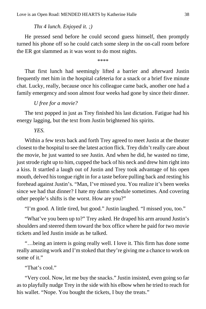## *Thx 4 lunch. Enjoyed it. ;)*

He pressed send before he could second guess himself, then promptly turned his phone off so he could catch some sleep in the on-call room before the ER got slammed as it was wont to do most nights.

\*\*\*\*

That first lunch had seemingly lifted a barrier and afterward Justin frequently met him in the hospital cafeteria for a snack or a brief five minute chat. Lucky, really, because once his colleague came back, another one had a family emergency and soon almost four weeks had gone by since their dinner.

## *U free for a movie?*

The text popped in just as Trey finished his last dictation. Fatigue had his energy lagging, but the text from Justin brightened his spirits.

## *YES.*

Within a few texts back and forth Trey agreed to meet Justin at the theater closest to the hospital to see the latest action flick. Trey didn't really care about the movie, he just wanted to see Justin. And when he did, he wasted no time, just strode right up to him, cupped the back of his neck and drew him right into a kiss. It startled a laugh out of Justin and Trey took advantage of his open mouth, delved his tongue right in for a taste before pulling back and resting his forehead against Justin's. "Man, I've missed you. You realize it's been weeks since we had that dinner? I hate my damn schedule sometimes. And covering other people's shifts is the worst. How are you?"

"I'm good. A little tired, but good." Justin laughed. "I missed you, too."

"What've you been up to?" Trey asked. He draped his arm around Justin's shoulders and steered them toward the box office where he paid for two movie tickets and led Justin inside as he talked.

"…being an intern is going really well. I love it. This firm has done some really amazing work and I'm stoked that they're giving me a chance to work on some of it."

"That's cool."

"Very cool. Now, let me buy the snacks." Justin insisted, even going so far as to playfully nudge Trey in the side with his elbow when he tried to reach for his wallet. "Nope. You bought the tickets, I buy the treats."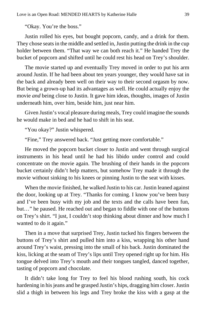"Okay. You're the boss."

Justin rolled his eyes, but bought popcorn, candy, and a drink for them. They chose seats in the middle and settled in, Justin putting the drink in the cup holder between them. "That way we can both reach it." He handed Trey the bucket of popcorn and shifted until he could rest his head on Trey's shoulder.

The movie started up and eventually Trey moved in order to put his arm around Justin. If he had been about ten years younger, they would have sat in the back and already been well on their way to their second orgasm by now. But being a grown-up had its advantages as well. He could actually enjoy the movie *and* being close to Justin. It gave him ideas, thoughts, images of Justin underneath him, over him, beside him, just near him.

Given Justin's vocal pleasure during meals, Trey could imagine the sounds he would make in bed and he had to shift in his seat.

"You okay?" Justin whispered.

"Fine," Trey answered back. "Just getting more comfortable."

He moved the popcorn bucket closer to Justin and went through surgical instruments in his head until he had his libido under control and could concentrate on the movie again. The brushing of their hands in the popcorn bucket certainly didn't help matters, but somehow Trey made it through the movie without sinking to his knees or pinning Justin to the seat with kisses.

When the movie finished, he walked Justin to his car. Justin leaned against the door, looking up at Trey. "Thanks for coming. I know you've been busy and I've been busy with my job and the texts and the calls have been fun, but…" he paused. He reached out and began to fiddle with one of the buttons on Trey's shirt. "I just, I couldn't stop thinking about dinner and how much I wanted to do it again."

Then in a move that surprised Trey, Justin tucked his fingers between the buttons of Trey's shirt and pulled him into a kiss, wrapping his other hand around Trey's waist, pressing into the small of his back. Justin dominated the kiss, licking at the seam of Trey's lips until Trey opened right up for him. His tongue delved into Trey's mouth and their tongues tangled, danced together, tasting of popcorn and chocolate.

It didn't take long for Trey to feel his blood rushing south, his cock hardening in his jeans and he grasped Justin's hips, dragging him closer. Justin slid a thigh in between his legs and Trey broke the kiss with a gasp at the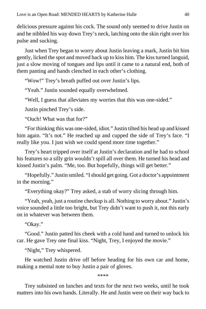delicious pressure against his cock. The sound only seemed to drive Justin on and he nibbled his way down Trey's neck, latching onto the skin right over his pulse and sucking.

Just when Trey began to worry about Justin leaving a mark, Justin bit him gently, licked the spot and moved back up to kiss him. The kiss turned languid, just a slow moving of tongues and lips until it came to a natural end, both of them panting and hands clenched in each other's clothing.

"Wow!" Trey's breath puffed out over Justin's lips.

"Yeah." Justin sounded equally overwhelmed.

"Well, I guess that alleviates my worries that this was one-sided."

Justin pinched Trey's side.

"Ouch! What was that for?"

"For thinking this was one-sided, idiot." Justin tilted his head up and kissed him again. "It's not." He reached up and cupped the side of Trey's face. "I really like you. I just wish we could spend more time together."

Trey's heart tripped over itself at Justin's declaration and he had to school his features so a silly grin wouldn't spill all over them. He turned his head and kissed Justin's palm. "Me, too. But hopefully, things will get better."

"Hopefully." Justin smiled. "I should get going. Got a doctor's appointment in the morning."

"Everything okay?" Trey asked, a stab of worry slicing through him.

"Yeah, yeah, just a routine checkup is all. Nothing to worry about." Justin's voice sounded a little too bright, but Trey didn't want to push it, not this early on in whatever was between them.

"Okay."

"Good." Justin patted his cheek with a cold hand and turned to unlock his car. He gave Trey one final kiss. "Night, Trey, I enjoyed the movie."

"Night," Trey whispered.

He watched Justin drive off before heading for his own car and home, making a mental note to buy Justin a pair of gloves.

\*\*\*\*

Trey subsisted on lunches and texts for the next two weeks, until he took matters into his own hands. Literally. He and Justin were on their way back to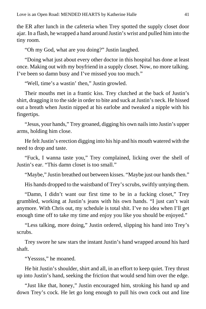the ER after lunch in the cafeteria when Trey spotted the supply closet door ajar. In a flash, he wrapped a hand around Justin's wrist and pulled him into the tiny room.

"Oh my God, what are you doing?" Justin laughed.

"Doing what just about every other doctor in this hospital has done at least once. Making out with my boyfriend in a supply closet. Now, no more talking. I've been so damn busy and I've missed you too much."

"Well, time's a wastin' then," Justin growled.

Their mouths met in a frantic kiss. Trey clutched at the back of Justin's shirt, dragging it to the side in order to bite and suck at Justin's neck. He hissed out a breath when Justin nipped at his earlobe and tweaked a nipple with his fingertips.

"Jesus, your hands," Trey groaned, digging his own nails into Justin's upper arms, holding him close.

He felt Justin's erection digging into his hip and his mouth watered with the need to drop and taste.

"Fuck, I wanna taste you," Trey complained, licking over the shell of Justin's ear. "This damn closet is too small."

"Maybe," Justin breathed out between kisses. "Maybe just our hands then."

His hands dropped to the waistband of Trey's scrubs, swiftly untying them.

"Damn, I didn't want our first time to be in a fucking closet," Trey grumbled, working at Justin's jeans with his own hands. "I just can't wait anymore. With Chris out, my schedule is total shit. I've no idea when I'll get enough time off to take my time and enjoy you like you should be enjoyed."

"Less talking, more doing," Justin ordered, slipping his hand into Trey's scrubs.

Trey swore he saw stars the instant Justin's hand wrapped around his hard shaft.

"Yesssss," he moaned.

He bit Justin's shoulder, shirt and all, in an effort to keep quiet. Trey thrust up into Justin's hand, seeking the friction that would send him over the edge.

"Just like that, honey," Justin encouraged him, stroking his hand up and down Trey's cock. He let go long enough to pull his own cock out and line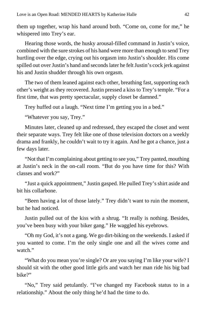them up together, wrap his hand around both. "Come on, come for me," he whispered into Trey's ear.

Hearing those words, the husky arousal-filled command in Justin's voice, combined with the sure strokes of his hand were more than enough to send Trey hurtling over the edge, crying out his orgasm into Justin's shoulder. His come spilled out over Justin's hand and seconds later he felt Justin's cock jerk against his and Justin shudder through his own orgasm.

The two of them leaned against each other, breathing fast, supporting each other's weight as they recovered. Justin pressed a kiss to Trey's temple. "For a first time, that was pretty spectacular, supply closet be damned."

Trey huffed out a laugh. "Next time I'm getting you in a bed."

"Whatever you say, Trey."

Minutes later, cleaned up and redressed, they escaped the closet and went their separate ways. Trey felt like one of those television doctors on a weekly drama and frankly, he couldn't wait to try it again. And he got a chance, just a few days later.

"Not that I'm complaining about getting to see you," Trey panted, mouthing at Justin's neck in the on-call room. "But do you have time for this? With classes and work?"

"Just a quick appointment," Justin gasped. He pulled Trey's shirt aside and bit his collarbone.

"Been having a lot of those lately." Trey didn't want to ruin the moment, but he had noticed.

Justin pulled out of the kiss with a shrug. "It really is nothing. Besides, you've been busy with your biker gang." He waggled his eyebrows.

"Oh my God, it's not a gang. We go dirt-biking on the weekends. I asked if you wanted to come. I'm the only single one and all the wives come and watch."

"What do you mean you're single? Or are you saying I'm like your wife? I should sit with the other good little girls and watch her man ride his big bad bike?"

"No," Trey said petulantly. "I've changed my Facebook status to in a relationship." About the only thing he'd had the time to do.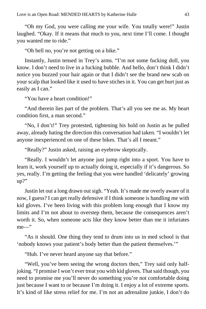"Oh my God, you were calling me your wife. You totally were!" Justin laughed. "Okay. If it means that much to you, next time I'll come. I thought you wanted me to ride."

"Oh hell no, you're not getting on a bike."

Instantly, Justin tensed in Trey's arms. "I'm not some fucking doll, you know. I don't need to live in a fucking bubble. And hello, don't think I didn't notice you buzzed your hair again or that I didn't see the brand new scab on your scalp that looked like it used to have stiches in it. You can get hurt just as easily as I can."

"You have a heart condition!"

"And therein lies part of the problem. That's all you see me as. My heart condition first, a man second."

"No, I don't!" Trey protested, tightening his hold on Justin as he pulled away, already hating the direction this conversation had taken. "I wouldn't let anyone inexperienced on one of these bikes. That's all I meant."

"Really?" Justin asked, raising an eyebrow skeptically.

"Really. I wouldn't let anyone just jump right into a sport. You have to learn it, work yourself up to actually doing it, especially if it's dangerous. So yes, really. I'm getting the feeling that you were handled 'delicately' growing up?"

Justin let out a long drawn out sigh. "Yeah. It's made me overly aware of it now, I guess? I can get really defensive if I think someone is handling me with kid gloves. I've been living with this problem long enough that I know my limits and I'm not about to overstep them, because the consequences aren't worth it. So, when someone acts like they know better than me it infuriates me—"

"As it should. One thing they tend to drum into us in med school is that 'nobody knows your patient's body better than the patient themselves.'"

"Huh. I've never heard anyone say that before."

"Well, you've been seeing the wrong doctors then," Trey said only halfjoking. "I promise I won't ever treat you with kid gloves. That said though, you need to promise me you'll never do something you're not comfortable doing just because I want to or because I'm doing it. I enjoy a lot of extreme sports. It's kind of like stress relief for me. I'm not an adrenaline junkie, I don't do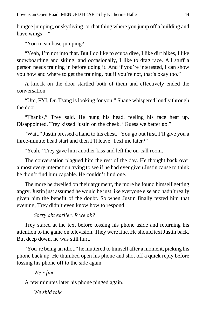bungee jumping, or skydiving, or that thing where you jump off a building and have wings—"

"You mean base jumping?"

"Yeah, I'm not into that. But I do like to scuba dive, I like dirt bikes, I like snowboarding and skiing, and occasionally, I like to drag race. All stuff a person needs training in before doing it. And if you're interested, I can show you how and where to get the training, but if you're not, that's okay too."

A knock on the door startled both of them and effectively ended the conversation.

"Um, FYI, Dr. Tsang is looking for you," Shane whispered loudly through the door.

"Thanks," Trey said. He hung his head, feeling his face heat up. Disappointed, Trey kissed Justin on the cheek. "Guess we better go."

"Wait." Justin pressed a hand to his chest. "You go out first. I'll give you a three-minute head start and then I'll leave. Text me later?"

"Yeah." Trey gave him another kiss and left the on-call room.

The conversation plagued him the rest of the day. He thought back over almost every interaction trying to see if he had ever given Justin cause to think he didn't find him capable. He couldn't find one.

The more he dwelled on their argument, the more he found himself getting angry. Justin just assumed he would be just like everyone else and hadn't really given him the benefit of the doubt. So when Justin finally texted him that evening, Trey didn't even know how to respond.

*Sorry abt earlier. R we ok?*

Trey stared at the text before tossing his phone aside and returning his attention to the game on television. They were fine. He should text Justin back. But deep down, he was still hurt.

"You're being an idiot," he muttered to himself after a moment, picking his phone back up. He thumbed open his phone and shot off a quick reply before tossing his phone off to the side again.

## *We r fine*

A few minutes later his phone pinged again.

*We shld talk*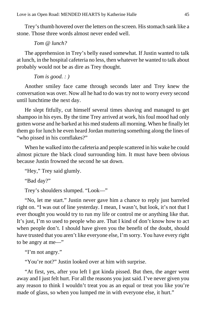Trey's thumb hovered over the letters on the screen. His stomach sank like a stone. Those three words almost never ended well.

*Tom @ lunch?*

The apprehension in Trey's belly eased somewhat. If Justin wanted to talk at lunch, in the hospital cafeteria no less, then whatever he wanted to talk about probably would not be as dire as Trey thought.

*Tom is good. : )*

Another smiley face came through seconds later and Trey knew the conversation was over. Now all he had to do was try not to worry every second until lunchtime the next day.

He slept fitfully, cut himself several times shaving and managed to get shampoo in his eyes. By the time Trey arrived at work, his foul mood had only gotten worse and he barked at his med students all morning. When he finally let them go for lunch he even heard Jordan muttering something along the lines of "who pissed in his cornflakes?"

When he walked into the cafeteria and people scattered in his wake he could almost picture the black cloud surrounding him. It must have been obvious because Justin frowned the second he sat down.

"Hey," Trey said glumly.

"Bad day?"

Trey's shoulders slumped. "Look—"

"No, let me start." Justin never gave him a chance to reply just barreled right on. "I was out of line yesterday. I mean, I wasn't, but look, it's not that I ever thought you would try to run my life or control me or anything like that. It's just, I'm so used to people who are. That I kind of don't know how to act when people don't. I should have given you the benefit of the doubt, should have trusted that you aren't like everyone else, I'm sorry. You have every right to be angry at me—"

"I'm not angry."

"You're not?" Justin looked over at him with surprise.

"At first, yes, after you left I got kinda pissed. But then, the anger went away and I just felt hurt. For all the reasons you just said. I've never given you any reason to think I wouldn't treat you as an equal or treat you like you're made of glass, so when you lumped me in with everyone else, it hurt."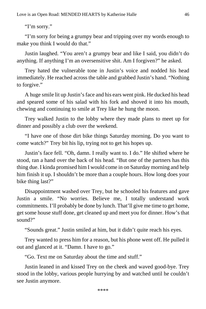"I'm sorry."

"I'm sorry for being a grumpy bear and tripping over my words enough to make you think I would do that."

Justin laughed. "You aren't a grumpy bear and like I said, you didn't do anything. If anything I'm an oversensitive shit. Am I forgiven?" he asked.

Trey hated the vulnerable tone in Justin's voice and nodded his head immediately. He reached across the table and grabbed Justin's hand. "Nothing to forgive."

A huge smile lit up Justin's face and his ears went pink. He ducked his head and speared some of his salad with his fork and shoved it into his mouth, chewing and continuing to smile at Trey like he hung the moon.

Trey walked Justin to the lobby where they made plans to meet up for dinner and possibly a club over the weekend.

"I have one of those dirt bike things Saturday morning. Do you want to come watch?" Trey bit his lip, trying not to get his hopes up.

Justin's face fell. "Oh, damn. I really want to. I do." He shifted where he stood, ran a hand over the back of his head. "But one of the partners has this thing due. I kinda promised him I would come in on Saturday morning and help him finish it up. I shouldn't be more than a couple hours. How long does your bike thing last?"

Disappointment washed over Trey, but he schooled his features and gave Justin a smile. "No worries. Believe me, I totally understand work commitments. I'll probably be done by lunch. That'll give me time to get home, get some house stuff done, get cleaned up and meet you for dinner. How's that sound?"

"Sounds great." Justin smiled at him, but it didn't quite reach his eyes.

Trey wanted to press him for a reason, but his phone went off. He pulled it out and glanced at it. "Damn. I have to go."

"Go. Text me on Saturday about the time and stuff."

Justin leaned in and kissed Trey on the cheek and waved good-bye. Trey stood in the lobby, various people hurrying by and watched until he couldn't see Justin anymore.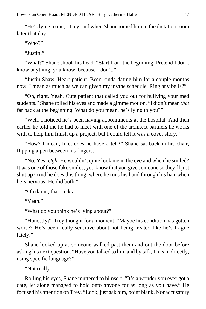"He's lying to me," Trey said when Shane joined him in the dictation room later that day.

"Who?"

"Justin!"

"What?" Shane shook his head. "Start from the beginning. Pretend I don't know anything, you know, because I don't."

"Justin Shaw. Heart patient. Been kinda dating him for a couple months now. I mean as much as we can given my insane schedule. Ring any bells?"

"Oh, right. Yeah. Cute patient that called you out for bullying your med students." Shane rolled his eyes and made a gimme motion. "I didn't mean *that* far back at the beginning. What do you mean, he's lying to you?"

"Well, I noticed he's been having appointments at the hospital. And then earlier he told me he had to meet with one of the architect partners he works with to help him finish up a project, but I could tell it was a cover story."

"How? I mean, like, does he have a tell?" Shane sat back in his chair, flipping a pen between his fingers.

"No. Yes. *Ugh*. He wouldn't quite look me in the eye and when he smiled? It was one of those fake smiles, you know that you give someone so they'll just shut up? And he does this thing, where he runs his hand through his hair when he's nervous. He did both."

"Oh damn, that sucks."

"Yeah."

"What do you think he's lying about?"

"Honestly?" Trey thought for a moment. "Maybe his condition has gotten worse? He's been really sensitive about not being treated like he's fragile lately."

Shane looked up as someone walked past them and out the door before asking his next question. "Have you talked to him and by talk, I mean, directly, using specific language?"

"Not really."

Rolling his eyes, Shane muttered to himself. "It's a wonder you ever got a date, let alone managed to hold onto anyone for as long as you have." He focused his attention on Trey. "Look, just ask him, point blank. Nonaccusatory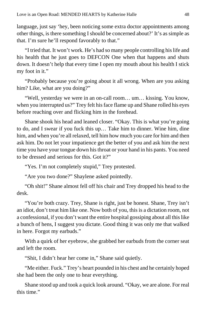language, just say 'hey, been noticing some extra doctor appointments among other things, is there something I should be concerned about?' It's as simple as that. I'm sure he'll respond favorably to that."

"I tried that. It won't work. He's had so many people controlling his life and his health that he just goes to DEFCON One when that happens and shuts down. It doesn't help that every time I open my mouth about his health I stick my foot in it."

"Probably because you're going about it all wrong. When are you asking him? Like, what are you doing?"

"Well, yesterday we were in an on-call room… um… kissing. You know, when you interrupted us?" Trey felt his face flame up and Shane rolled his eyes before reaching over and flicking him in the forehead.

Shane shook his head and leaned closer. "Okay. This is what you're going to do, and I swear if you fuck this up… Take him to dinner. Wine him, dine him, and when you're all relaxed, tell him how much you care for him and then ask him. Do not let your impatience get the better of you and ask him the next time you have your tongue down his throat or your hand in his pants. You need to be dressed and serious for this. Got it?"

"Yes. I'm not completely stupid," Trey protested.

"Are you two done?" Shaylene asked pointedly.

"Oh shit!" Shane almost fell off his chair and Trey dropped his head to the desk.

"You're both crazy. Trey, Shane is right, just be honest. Shane, Trey isn't an idiot, don't treat him like one. Now both of you, this is a dictation room, not a confessional, if you don't want the entire hospital gossiping about all this like a bunch of hens, I suggest you dictate. Good thing it was only me that walked in here. Forgot my earbuds."

With a quirk of her eyebrow, she grabbed her earbuds from the corner seat and left the room.

"Shit, I didn't hear her come in," Shane said quietly.

"Me either. Fuck." Trey's heart pounded in his chest and he certainly hoped she had been the only one to hear everything.

Shane stood up and took a quick look around. "Okay, we are alone. For real this time."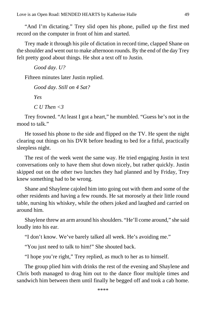"And I'm dictating." Trey slid open his phone, pulled up the first med record on the computer in front of him and started.

Trey made it through his pile of dictation in record time, clapped Shane on the shoulder and went out to make afternoon rounds. By the end of the day Trey felt pretty good about things. He shot a text off to Justin.

```
Good day. U?
```
Fifteen minutes later Justin replied.

```
Good day. Still on 4 Sat?
Yes
C U Then <3
```
Trey frowned. "At least I got a heart," he mumbled. "Guess he's not in the mood to talk."

He tossed his phone to the side and flipped on the TV. He spent the night clearing out things on his DVR before heading to bed for a fitful, practically sleepless night.

The rest of the week went the same way. He tried engaging Justin in text conversations only to have them shut down nicely, but rather quickly. Justin skipped out on the other two lunches they had planned and by Friday, Trey knew something had to be wrong.

Shane and Shaylene cajoled him into going out with them and some of the other residents and having a few rounds. He sat morosely at their little round table, nursing his whiskey, while the others joked and laughed and carried on around him.

Shaylene threw an arm around his shoulders. "He'll come around," she said loudly into his ear.

"I don't know. We've barely talked all week. He's avoiding me."

"You just need to talk to him!" She shouted back.

"I hope you're right," Trey replied, as much to her as to himself.

The group plied him with drinks the rest of the evening and Shaylene and Chris both managed to drag him out to the dance floor multiple times and sandwich him between them until finally he begged off and took a cab home.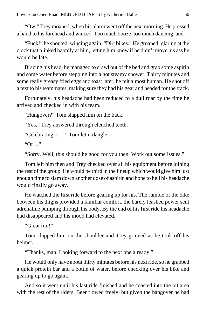"Ow," Trey moaned, when his alarm went off the next morning. He pressed a hand to his forehead and winced. Too much booze, too much dancing, and—

"Fuck!" he shouted, wincing again. "Dirt bikes." He groaned, glaring at the clock that blinked happily at him, letting him know if he didn't move his ass he would be late.

Bracing his head, he managed to crawl out of the bed and grab some aspirin and some water before stepping into a hot steamy shower. Thirty minutes and some really greasy fried eggs and toast later, he felt almost human. He shot off a text to his teammates, making sure they had his gear and headed for the track.

Fortunately, his headache had been reduced to a dull roar by the time he arrived and checked in with his team.

"Hungover?" Tom slapped him on the back.

"Yes," Trey answered through clenched teeth.

"Celebrating or…" Tom let it dangle.

"Or…"

"Sorry. Well, this should be good for you then. Work out some issues."

Tom left him then and Trey checked over all his equipment before joining the rest of the group. He would be third in the lineup which would give him just enough time to slam down another dose of aspirin and hope to hell his headache would finally go away.

He watched the first ride before gearing up for his. The rumble of the bike between his thighs provided a familiar comfort, the barely leashed power sent adrenaline pumping through his body. By the end of his first ride his headache had disappeared and his mood had elevated.

"Great run!"

Tom clapped him on the shoulder and Trey grinned as he took off his helmet.

"Thanks, man. Looking forward to the next one already."

He would only have about thirty minutes before his next ride, so he grabbed a quick protein bar and a bottle of water, before checking over his bike and gearing up to go again.

And so it went until his last ride finished and he coasted into the pit area with the rest of the riders. Beer flowed freely, but given the hangover he had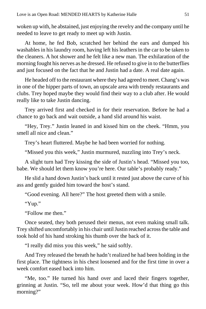woken up with, he abstained, just enjoying the revelry and the company until he needed to leave to get ready to meet up with Justin.

At home, he fed Bob, scratched her behind the ears and dumped his washables in his laundry room, having left his leathers in the car to be taken to the cleaners. A hot shower and he felt like a new man. The exhilaration of the morning fought his nerves as he dressed. He refused to give in to the butterflies and just focused on the fact that he and Justin had a date. A real date again.

He headed off to the restaurant where they had agreed to meet. Chang's was in one of the hipper parts of town, an upscale area with trendy restaurants and clubs. Trey hoped maybe they would find their way to a club after. He would really like to take Justin dancing.

Trey arrived first and checked in for their reservation. Before he had a chance to go back and wait outside, a hand slid around his waist.

"Hey, Trey." Justin leaned in and kissed him on the cheek. "Hmm, you smell all nice and clean."

Trey's heart fluttered. Maybe he had been worried for nothing.

"Missed you this week," Justin murmured, nuzzling into Trey's neck.

A slight turn had Trey kissing the side of Justin's head. "Missed you too, babe. We should let them know you're here. Our table's probably ready."

He slid a hand down Justin's back until it rested just above the curve of his ass and gently guided him toward the host's stand.

"Good evening. All here?" The host greeted them with a smile.

"Yup."

"Follow me then."

Once seated, they both perused their menus, not even making small talk. Trey shifted uncomfortably in his chair until Justin reached across the table and took hold of his hand stroking his thumb over the back of it.

"I really did miss you this week," he said softly.

And Trey released the breath he hadn't realized he had been holding in the first place. The tightness in his chest loosened and for the first time in over a week comfort eased back into him.

"Me, too." He turned his hand over and laced their fingers together, grinning at Justin. "So, tell me about your week. How'd that thing go this morning?"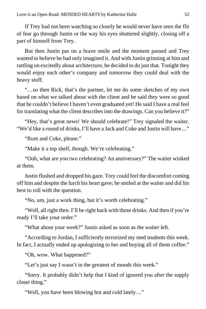If Trey had not been watching so closely he would never have seen the flit of fear go through Justin or the way his eyes shuttered slightly, closing off a part of himself from Trey.

But then Justin put on a brave smile and the moment passed and Trey wanted to believe he had only imagined it. And with Justin grinning at him and rattling on excitedly about architecture, he decided to do just that. Tonight they would enjoy each other's company and tomorrow they could deal with the heavy stuff.

"…so then Rick, that's the partner, let me do some sketches of my own based on what we talked about with the client and he said they were so good that he couldn't believe I haven't even graduated yet! He said I have a real feel for translating what the client describes into the drawings. Can you believe it?"

"Hey, that's great news! We should celebrate!" Trey signaled the waiter. "We'd like a round of drinks, I'll have a Jack and Coke and Justin will have…"

"Rum and Coke, please."

"Make it a top shelf, though. We're celebrating."

"Ooh, what are you two celebrating? An anniversary?" The waiter winked at them.

Justin flushed and dropped his gaze. Trey could feel the discomfort coming off him and despite the lurch his heart gave; he smiled at the waiter and did his best to roll with the question.

"No, um, just a work thing, but it's worth celebrating."

"Well, all right then. I'll be right back with those drinks. And then if you're ready I'll take your order."

"What about your week?" Justin asked as soon as the waiter left.

"According to Jordan, I sufficiently terrorized my med students this week. In fact, I actually ended up apologizing to her and buying all of them coffee."

"Oh, wow. What happened?"

"Let's just say I wasn't in the greatest of moods this week."

"Sorry. It probably didn't help that I kind of ignored you after the supply closet thing."

"Well, you have been blowing hot and cold lately…"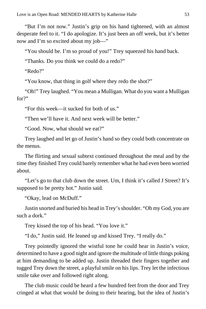"But I'm not now." Justin's grip on his hand tightened, with an almost desperate feel to it. "I do apologize. It's just been an off week, but it's better now and I'm so excited about my job—"

"You should be. I'm so proud of you!" Trey squeezed his hand back.

"Thanks. Do you think we could do a redo?"

"Redo?"

"You know, that thing in golf where they redo the shot?"

"Oh!" Trey laughed. "You mean a Mulligan. What do you want a Mulligan for?"

"For this week—it sucked for both of us."

"Then we'll have it. And next week will be better."

"Good. Now, what should we eat?"

Trey laughed and let go of Justin's hand so they could both concentrate on the menus.

The flirting and sexual subtext continued throughout the meal and by the time they finished Trey could barely remember what he had even been worried about.

"Let's go to that club down the street. Um, I think it's called J Street? It's supposed to be pretty hot." Justin said.

"Okay, lead on McDuff."

Justin snorted and buried his head in Trey's shoulder. "Oh my God, you are such a dork."

Trey kissed the top of his head. "You love it."

"I do," Justin said. He leaned up and kissed Trey. "I really do."

Trey pointedly ignored the wistful tone he could hear in Justin's voice, determined to have a good night and ignore the multitude of little things poking at him demanding to be added up. Justin threaded their fingers together and tugged Trey down the street, a playful smile on his lips. Trey let the infectious smile take over and followed right along.

The club music could be heard a few hundred feet from the door and Trey cringed at what that would be doing to their hearing, but the idea of Justin's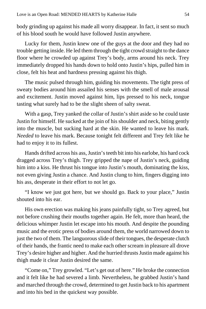body grinding up against his made all worry disappear. In fact, it sent so much of his blood south he would have followed Justin anywhere.

Lucky for them, Justin knew one of the guys at the door and they had no trouble getting inside. He led them through the tight crowd straight to the dance floor where he crowded up against Trey's body, arms around his neck. Trey immediately dropped his hands down to hold onto Justin's hips, pulled him in close, felt his heat and hardness pressing against his thigh.

The music pulsed through him, guiding his movements. The tight press of sweaty bodies around him assailed his senses with the smell of male arousal and excitement. Justin moved against him, lips pressed to his neck, tongue tasting what surely had to be the slight sheen of salty sweat.

With a gasp, Trey yanked the collar of Justin's shirt aside so he could taste Justin for himself. He sucked at the join of his shoulder and neck, biting gently into the muscle, but sucking hard at the skin. He wanted to leave his mark. *Needed* to leave his mark. Because tonight felt different and Trey felt like he had to enjoy it to its fullest.

Hands drifted across his ass, Justin's teeth bit into his earlobe, his hard cock dragged across Trey's thigh. Trey gripped the nape of Justin's neck, guiding him into a kiss. He thrust his tongue into Justin's mouth, dominating the kiss, not even giving Justin a chance. And Justin clung to him, fingers digging into his ass, desperate in their effort to not let go.

"I know we just got here, but we should go. Back to your place," Justin shouted into his ear.

His own erection was making his jeans painfully tight, so Trey agreed, but not before crushing their mouths together again. He felt, more than heard, the delicious whimper Justin let escape into his mouth. And despite the pounding music and the erotic press of bodies around them, the world narrowed down to just the two of them. The languorous slide of their tongues, the desperate clutch of their hands, the frantic need to make each other scream in pleasure all drove Trey's desire higher and higher. And the hurried thrusts Justin made against his thigh made it clear Justin desired the same.

"Come on," Trey growled. "Let's get out of here." He broke the connection and it felt like he had severed a limb. Nevertheless, he grabbed Justin's hand and marched through the crowd, determined to get Justin back to his apartment and into his bed in the quickest way possible.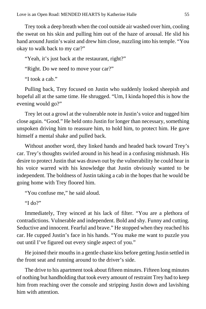Trey took a deep breath when the cool outside air washed over him, cooling the sweat on his skin and pulling him out of the haze of arousal. He slid his hand around Justin's waist and drew him close, nuzzling into his temple. "You okay to walk back to my car?"

"Yeah, it's just back at the restaurant, right?"

"Right. Do we need to move your car?"

"I took a cab."

Pulling back, Trey focused on Justin who suddenly looked sheepish and hopeful all at the same time. He shrugged. "Um, I kinda hoped this is how the evening would go?"

Trey let out a growl at the vulnerable note in Justin's voice and tugged him close again. "Good." He held onto Justin for longer than necessary, something unspoken driving him to reassure him, to hold him, to protect him. He gave himself a mental shake and pulled back.

Without another word, they linked hands and headed back toward Trey's car. Trey's thoughts swirled around in his head in a confusing mishmash. His desire to protect Justin that was drawn out by the vulnerability he could hear in his voice warred with his knowledge that Justin obviously wanted to be independent. The boldness of Justin taking a cab in the hopes that he would be going home with Trey floored him.

"You confuse me," he said aloud.

"I do?"

Immediately, Trey winced at his lack of filter. "You are a plethora of contradictions. Vulnerable and independent. Bold and shy. Funny and cutting. Seductive and innocent. Fearful and brave." He stopped when they reached his car. He cupped Justin's face in his hands. "You make me want to puzzle you out until I've figured out every single aspect of you."

He joined their mouths in a gentle chaste kiss before getting Justin settled in the front seat and running around to the driver's side.

The drive to his apartment took about fifteen minutes. Fifteen long minutes of nothing but handholding that took every amount of restraint Trey had to keep him from reaching over the console and stripping Justin down and lavishing him with attention.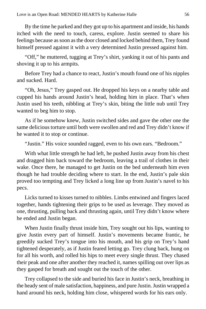By the time he parked and they got up to his apartment and inside, his hands itched with the need to touch, caress, explore. Justin seemed to share his feelings because as soon as the door closed and locked behind them, Trey found himself pressed against it with a very determined Justin pressed against him.

"Off," he muttered, tugging at Trey's shirt, yanking it out of his pants and shoving it up to his armpits.

Before Trey had a chance to react, Justin's mouth found one of his nipples and sucked. Hard.

"Oh, Jesus," Trey gasped out. He dropped his keys on a nearby table and cupped his hands around Justin's head, holding him in place. That's when Justin used his teeth, nibbling at Trey's skin, biting the little nub until Trey wanted to beg him to stop.

As if he somehow knew, Justin switched sides and gave the other one the same delicious torture until both were swollen and red and Trey didn't know if he wanted it to stop or continue.

"Justin." His voice sounded ragged, even to his own ears. "Bedroom."

With what little strength he had left, he pushed Justin away from his chest and dragged him back toward the bedroom, leaving a trail of clothes in their wake. Once there, he managed to get Justin on the bed underneath him even though he had trouble deciding where to start. In the end, Justin's pale skin proved too tempting and Trey licked a long line up from Justin's navel to his pecs.

Licks turned to kisses turned to nibbles. Limbs entwined and fingers laced together, hands tightening their grips to be used as leverage. They moved as one, thrusting, pulling back and thrusting again, until Trey didn't know where he ended and Justin began.

When Justin finally thrust inside him, Trey sought out his lips, wanting to give Justin every part of himself. Justin's movements became frantic, he greedily sucked Trey's tongue into his mouth, and his grip on Trey's hand tightened desperately, as if Justin feared letting go. Trey clung back, hung on for all his worth, and rolled his hips to meet every single thrust. They chased their peak and one after another they reached it, names spilling out over lips as they gasped for breath and sought out the touch of the other.

Trey collapsed to the side and buried his face in Justin's neck, breathing in the heady sent of male satisfaction, happiness, and pure Justin. Justin wrapped a hand around his neck, holding him close, whispered words for his ears only.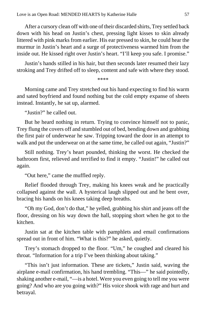After a cursory clean off with one of their discarded shirts, Trey settled back down with his head on Justin's chest, pressing light kisses to skin already littered with pink marks from earlier. His ear pressed to skin, he could hear the murmur in Justin's heart and a surge of protectiveness warmed him from the inside out. He kissed right over Justin's heart. "I'll keep you safe. I promise."

Justin's hands stilled in his hair, but then seconds later resumed their lazy stroking and Trey drifted off to sleep, content and safe with where they stood.

\*\*\*\*

Morning came and Trey stretched out his hand expecting to find his warm and sated boyfriend and found nothing but the cold empty expanse of sheets instead. Instantly, he sat up, alarmed.

"Justin?" he called out.

But he heard nothing in return. Trying to convince himself not to panic, Trey flung the covers off and stumbled out of bed, bending down and grabbing the first pair of underwear he saw. Tripping toward the door in an attempt to walk and put the underwear on at the same time, he called out again, "Justin?"

Still nothing. Trey's heart pounded, thinking the worst. He checked the bathroom first, relieved and terrified to find it empty. "Justin!" he called out again.

"Out here," came the muffled reply.

Relief flooded through Trey, making his knees weak and he practically collapsed against the wall. A hysterical laugh slipped out and he bent over, bracing his hands on his knees taking deep breaths.

"Oh my God, don't do that," he yelled, grabbing his shirt and jeans off the floor, dressing on his way down the hall, stopping short when he got to the kitchen.

Justin sat at the kitchen table with pamphlets and email confirmations spread out in front of him. "What is this?" he asked, quietly.

Trey's stomach dropped to the floor. "Um," he coughed and cleared his throat. "Information for a trip I've been thinking about taking."

"This isn't just information. These are tickets," Justin said, waving the airplane e-mail confirmation, his hand trembling. "This—" he said pointedly, shaking another e-mail, "—is a hotel. Were you even going to tell me you were going? And who are you going with?" His voice shook with rage and hurt and betrayal.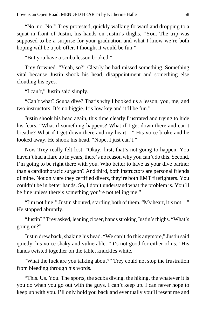"No, no. No!" Trey protested, quickly walking forward and dropping to a squat in front of Justin, his hands on Justin's thighs. "You. The trip was supposed to be a surprise for your graduation and what I know we're both hoping will be a job offer. I thought it would be fun."

"But you have a scuba lesson booked."

Trey frowned. "Yeah, so?" Clearly he had missed something. Something vital because Justin shook his head, disappointment and something else clouding his eyes.

"I can't," Justin said simply.

"Can't what? Scuba dive? That's why I booked us a lesson, you, me, and two instructors. It's no biggie. It's low key and it'll be fun."

Justin shook his head again, this time clearly frustrated and trying to hide his fears. "What if something happens? What if I get down there and can't breathe? What if I get down there and my heart—" His voice broke and he looked away. He shook his head. "Nope, I just can't."

Now Trey really felt lost. "Okay, first, that's not going to happen. You haven't had a flare up in years, there's no reason why you can't do this. Second, I'm going to be right there with you. Who better to have as your dive partner than a cardiothoracic surgeon? And third, both instructors are personal friends of mine. Not only are they certified divers, they're both EMT firefighters. You couldn't be in better hands. So, I don't understand what the problem is. You'll be fine unless there's something you're not telling me."

"I'm not fine!" Justin shouted, startling both of them. "My heart, it's not—" He stopped abruptly.

"Justin?" Trey asked, leaning closer, hands stroking Justin's thighs. "What's going on?"

Justin drew back, shaking his head. "We can't do this anymore," Justin said quietly, his voice shaky and vulnerable. "It's not good for either of us." His hands twisted together on the table, knuckles white.

"What the fuck are you talking about?" Trey could not stop the frustration from bleeding through his words.

"This. Us. You. The sports, the scuba diving, the hiking, the whatever it is you do when you go out with the guys. I can't keep up. I can never hope to keep up with you. I'll only hold you back and eventually you'll resent me and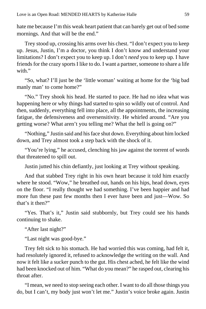hate me because I'm this weak heart patient that can barely get out of bed some mornings. And that will be the end."

Trey stood up, crossing his arms over his chest. "I don't expect you to keep up. Jesus, Justin, I'm a doctor, you think I don't know and understand your limitations? I don't expect you to keep up. I don't *need* you to keep up. I have friends for the crazy sports I like to do. I want a partner, someone to share a life with."

"So, what? I'll just be the 'little woman' waiting at home for the 'big bad manly man' to come home?"

"No." Trey shook his head. He started to pace. He had no idea what was happening here or why things had started to spin so wildly out of control. And then, suddenly, everything fell into place, all the appointments, the increasing fatigue, the defensiveness and oversensitivity. He whirled around. "Are you getting worse? What aren't you telling me? What the hell is going on?"

"Nothing," Justin said and his face shut down. Everything about him locked down, and Trey almost took a step back with the shock of it.

"You're lying," he accused, clenching his jaw against the torrent of words that threatened to spill out.

Justin jutted his chin defiantly, just looking at Trey without speaking.

And that stabbed Trey right in his own heart because it told him exactly where he stood. "Wow," he breathed out, hands on his hips, head down, eyes on the floor. "I really thought we had something. I've been happier and had more fun these past few months then I ever have been and just—Wow. So that's it then?"

"Yes. That's it," Justin said stubbornly, but Trey could see his hands continuing to shake.

"After last night?"

"Last night was good-bye."

Trey felt sick to his stomach. He had worried this was coming, had felt it, had resolutely ignored it, refused to acknowledge the writing on the wall. And now it felt like a sucker punch to the gut. His chest ached, he felt like the wind had been knocked out of him. "What do you mean?" he rasped out, clearing his throat after.

"I mean, we need to stop seeing each other. I want to do all those things you do, but I can't, my body just won't let me." Justin's voice broke again. Justin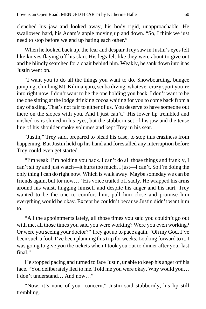clenched his jaw and looked away, his body rigid, unapproachable. He swallowed hard, his Adam's apple moving up and down. "So, I think we just need to stop before we end up hating each other."

When he looked back up, the fear and despair Trey saw in Justin's eyes felt like knives flaying off his skin. His legs felt like they were about to give out and he blindly searched for a chair behind him. Weakly, he sank down into it as Justin went on.

"I want you to do all the things you want to do. Snowboarding, bungee jumping, climbing Mt. Kilimanjaro, scuba diving, whatever crazy sport you're into right now. I don't want to be the one holding you back. I don't want to be the one sitting at the lodge drinking cocoa waiting for you to come back from a day of skiing. That's not fair to either of us. You deserve to have someone out there on the slopes with you. And I just can't." His lower lip trembled and unshed tears shined in his eyes, but the stubborn set of his jaw and the tense line of his shoulder spoke volumes and kept Trey in his seat.

"Justin," Trey said, prepared to plead his case, to stop this craziness from happening. But Justin held up his hand and forestalled any interruption before Trey could even get started.

"I'm weak. I'm holding you back. I can't do all those things and frankly, I can't sit by and just watch—it hurts too much. I just—I can't. So I'm doing the only thing I can do right now. Which is walk away. Maybe someday we can be friends again, but for now…" His voice trailed off sadly. He wrapped his arms around his waist, hugging himself and despite his anger and his hurt, Trey wanted to be the one to comfort him, pull him close and promise him everything would be okay. Except he couldn't because Justin didn't want him to.

"All the appointments lately, all those times you said you couldn't go out with me, all those times you said you were working? Were you even working? Or were you seeing your doctor?" Trey got up to pace again. "Oh my God, I've been such a fool. I've been planning this trip for weeks. Looking forward to it. I was going to give you the tickets when I took you out to dinner after your last final."

He stopped pacing and turned to face Justin, unable to keep his anger off his face. "You deliberately lied to me. Told me you were okay. Why would you… I don't understand… And now…"

"Now, it's none of your concern," Justin said stubbornly, his lip still trembling.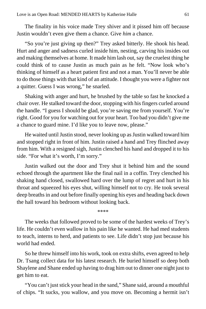The finality in his voice made Trey shiver and it pissed him off because Justin wouldn't even give them a chance. Give *him* a chance.

"So you're just giving up then?" Trey asked bitterly. He shook his head. Hurt and anger and sadness curled inside him, nesting, carving his insides out and making themselves at home. It made him lash out, say the cruelest thing he could think of to cause Justin as much pain as he felt. "Now look who's thinking of himself as a heart patient first and not a man. You'll never be able to do those things with that kind of an attitude. I thought you were a fighter not a quitter. Guess I was wrong," he snarled.

Shaking with anger and hurt, he brushed by the table so fast he knocked a chair over. He stalked toward the door, stopping with his fingers curled around the handle. "I guess I should be glad, you're saving me from yourself. You're right. Good for you for watching out for your heart. Too bad you didn't give me a chance to guard mine. I'd like you to leave now, please."

He waited until Justin stood, never looking up as Justin walked toward him and stopped right in front of him. Justin raised a hand and Trey flinched away from him. With a resigned sigh, Justin clenched his hand and dropped it to his side. "For what it's worth, I'm sorry."

Justin walked out the door and Trey shut it behind him and the sound echoed through the apartment like the final nail in a coffin. Trey clenched his shaking hand closed, swallowed hard over the lump of regret and hurt in his throat and squeezed his eyes shut, willing himself not to cry. He took several deep breaths in and out before finally opening his eyes and heading back down the hall toward his bedroom without looking back.

\*\*\*\*

The weeks that followed proved to be some of the hardest weeks of Trey's life. He couldn't even wallow in his pain like he wanted. He had med students to teach, interns to herd, and patients to see. Life didn't stop just because his world had ended.

So he threw himself into his work, took on extra shifts, even agreed to help Dr. Tsang collect data for his latest research. He buried himself so deep both Shaylene and Shane ended up having to drag him out to dinner one night just to get him to eat.

"You can't just stick your head in the sand," Shane said, around a mouthful of chips. "It sucks, you wallow, and you move on. Becoming a hermit isn't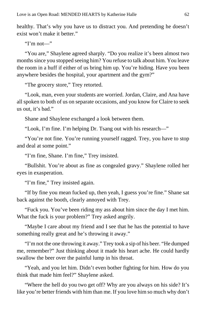healthy. That's why you have us to distract you. And pretending he doesn't exist won't make it better."

"I'm not—"

"You are," Shaylene agreed sharply. "Do you realize it's been almost two months since you stopped seeing him? You refuse to talk about him. You leave the room in a huff if either of us bring him up. You're hiding. Have you been anywhere besides the hospital, your apartment and the gym?"

"The grocery store," Trey retorted.

"Look, man, even your students are worried. Jordan, Claire, and Ana have all spoken to both of us on separate occasions, and you know for Claire to seek us out, it's bad."

Shane and Shaylene exchanged a look between them.

"Look, I'm fine. I'm helping Dr. Tsang out with his research—"

"You're not fine. You're running yourself ragged. Trey, you have to stop and deal at some point."

"I'm fine, Shane. I'm fine," Trey insisted.

"Bullshit. You're about as fine as congealed gravy." Shaylene rolled her eyes in exasperation.

"I'm fine," Trey insisted again.

"If by fine you mean fucked up, then yeah, I guess you're fine." Shane sat back against the booth, clearly annoyed with Trey.

"Fuck you. You've been riding my ass about him since the day I met him. What the fuck is your problem?" Trey asked angrily.

"Maybe I care about my friend and I see that he has the potential to have something really great and he's throwing it away."

"I'm not the one throwing it away." Trey took a sip of his beer. "He dumped me, remember?" Just thinking about it made his heart ache. He could hardly swallow the beer over the painful lump in his throat.

"Yeah, and you let him. Didn't even bother fighting for him. How do you think that made him feel?" Shaylene asked.

"Where the hell do you two get off? Why are you always on his side? It's like you're better friends with him than me. If you love him so much why don't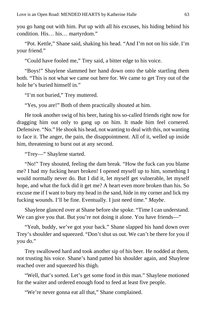you go hang out with him. Put up with all his excuses, his hiding behind his condition. His… his… martyrdom."

"Pot. Kettle," Shane said, shaking his head. "And I'm not on his side. I'm your friend."

"Could have fooled me," Trey said, a bitter edge to his voice.

"Boys!" Shaylene slammed her hand down onto the table startling them both. "This is not what we came out here for. We came to get Trey out of the hole he's buried himself in."

"I'm not buried," Trey muttered.

"Yes, you are!" Both of them practically shouted at him.

He took another swig of his beer, hating his so-called friends right now for dragging him out only to gang up on him. It made him feel cornered. Defensive. "No." He shook his head, not wanting to deal with this, not wanting to face it. The anger, the pain, the disappointment. All of it, welled up inside him, threatening to burst out at any second.

"Trey—" Shaylene started.

"No!" Trey shouted, feeling the dam break. "How the fuck can you blame me? I had my fucking heart broken! I opened myself up to him, something I would normally never do. But I did it, let myself get vulnerable, let myself hope, and what the fuck did it get me? A heart even more broken than his. So excuse me if I want to bury my head in the sand, hide in my corner and lick my fucking wounds. I'll be fine. Eventually. I just need time." *Maybe*.

Shaylene glanced over at Shane before she spoke. "Time I can understand. We can give you that. But you're not doing it alone. You have friends—"

"Yeah, buddy, we've got your back." Shane slapped his hand down over Trey's shoulder and squeezed. "Don't shut us out. We can't be there for you if you do."

Trey swallowed hard and took another sip of his beer. He nodded at them, not trusting his voice. Shane's hand patted his shoulder again, and Shaylene reached over and squeezed his thigh.

"Well, that's sorted. Let's get some food in this man." Shaylene motioned for the waiter and ordered enough food to feed at least five people.

"We're never gonna eat all that," Shane complained.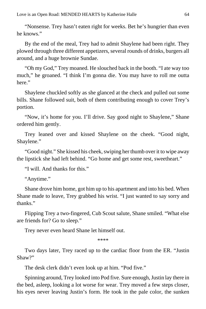"Nonsense. Trey hasn't eaten right for weeks. Bet he's hungrier than even he knows."

By the end of the meal, Trey had to admit Shaylene had been right. They plowed through three different appetizers, several rounds of drinks, burgers all around, and a huge brownie Sundae.

"Oh my God," Trey moaned. He slouched back in the booth. "I ate way too much," he groaned. "I think I'm gonna die. You may have to roll me outta here."

Shaylene chuckled softly as she glanced at the check and pulled out some bills. Shane followed suit, both of them contributing enough to cover Trey's portion.

"Now, it's home for you. I'll drive. Say good night to Shaylene," Shane ordered him gently.

Trey leaned over and kissed Shaylene on the cheek. "Good night, Shaylene."

"Good night." She kissed his cheek, swiping her thumb over it to wipe away the lipstick she had left behind. "Go home and get some rest, sweetheart."

"I will. And thanks for this."

"Anytime."

Shane drove him home, got him up to his apartment and into his bed. When Shane made to leave, Trey grabbed his wrist. "I just wanted to say sorry and thanks."

Flipping Trey a two-fingered, Cub Scout salute, Shane smiled. "What else are friends for? Go to sleep."

Trey never even heard Shane let himself out.

\*\*\*\*

Two days later, Trey raced up to the cardiac floor from the ER. "Justin Shaw?"

The desk clerk didn't even look up at him. "Pod five."

Spinning around, Trey looked into Pod five. Sure enough, Justin lay there in the bed, asleep, looking a lot worse for wear. Trey moved a few steps closer, his eyes never leaving Justin's form. He took in the pale color, the sunken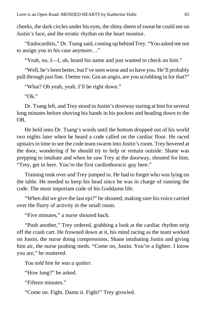cheeks, the dark circles under his eyes, the shiny sheen of sweat he could see on Justin's face, and the erratic rhythm on the heart monitor.

"Endocarditis," Dr. Tsang said, coming up behind Trey. "You asked me not to assign you to his case anymore…"

"Yeah, no, I—I, uh, heard his name and just wanted to check on him."

"Well, he's been better, but I've seen worse and so have you. He'll probably pull through just fine. I better run. Got an angio, are you scrubbing in for that?"

"What? Oh yeah, yeah. I'll be right down."

"Ok."

Dr. Tsang left, and Trey stood in Justin's doorway staring at him for several long minutes before shoving his hands in his pockets and heading down to the OR.

He held onto Dr. Tsang's words until the bottom dropped out of his world two nights later when he heard a code called on the cardiac floor. He raced upstairs in time to see the code team swarm into Justin's room. Trey hovered at the door, wondering if he should try to help or remain outside. Shane was prepping to intubate and when he saw Trey at the doorway, shouted for him, "Trey, get in here. You're the first cardiothoracic guy here."

Training took over and Trey jumped in. He had to forget who was lying on the table. He needed to keep his head since he was in charge of running the code. The most important code of his Goddamn life.

"When did we give the last epi?" he shouted, making sure his voice carried over the flurry of activity in the small room.

"Five minutes," a nurse shouted back.

"Push another," Trey ordered, grabbing a look at the cardiac rhythm strip off the crash cart. He frowned down at it, his mind racing as the team worked on Justin, the nurse doing compressions, Shane intubating Justin and giving him air, the nurse pushing meds. "Come on, Justin. You're a fighter. I know you are," he muttered.

*You told him he was a quitter.*

"How long?" he asked.

"Fifteen minutes."

"Come on. Fight. Damn it. Fight!" Trey growled.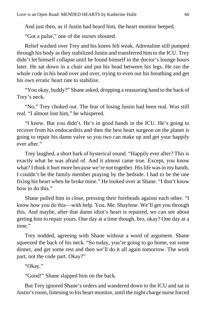And just then, as if Justin had heard him, the heart monitor beeped.

"Got a pulse," one of the nurses shouted.

Relief washed over Trey and his knees felt weak. Adrenaline still pumped through his body as they stabilized Justin and transferred him to the ICU. Trey didn't let himself collapse until he found himself in the doctor's lounge hours later. He sat down in a chair and put his head between his legs. He ran the whole code in his head over and over, trying to even out his breathing and get his own erratic heart rate to stabilize.

"You okay, buddy?" Shane asked, dropping a reassuring hand to the back of Trey's neck.

"No," Trey choked out. The fear of losing Justin had been real. Was still real. "I almost lost him," he whispered.

"I know. But you didn't. He's in good hands in the ICU. He's going to recover from his endocarditis and then the best heart surgeon on the planet is going to repair his damn valve so you two can make up and get your happily ever after."

Trey laughed, a short bark of hysterical sound. "Happily ever after? This is exactly what he was afraid of. And it almost came true. Except, you know what? I think it hurt more because we're not together. His life was in my hands. I couldn't be the family member praying by the bedside. I had to be the one fixing his heart when he broke mine." He looked over at Shane. "I don't know how to do this."

Shane pulled him in close, pressing their foreheads against each other. "I know how you do this—with help. You. Me. Shaylene. We'll get you through this. And maybe, after that damn idiot's heart is repaired, we can see about getting him to repair yours. One day at a time though, bro, okay? One day at a time."

Trey nodded, agreeing with Shane without a word of argument. Shane squeezed the back of his neck. "So today, you're going to go home, eat some dinner, and get some rest and then we'll do it all again tomorrow. The work part, not the code part. Okay?"

"Okay."

"Good!" Shane slapped him on the back.

But Trey ignored Shane's orders and wandered down to the ICU and sat in Justin's room, listening to his heart monitor, until the night charge nurse forced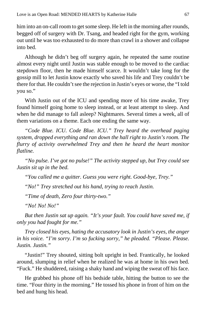him into an on-call room to get some sleep. He left in the morning after rounds, begged off of surgery with Dr. Tsang, and headed right for the gym, working out until he was too exhausted to do more than crawl in a shower and collapse into bed.

Although he didn't beg off surgery again, he repeated the same routine almost every night until Justin was stable enough to be moved to the cardiac stepdown floor, then he made himself scarce. It wouldn't take long for the gossip mill to let Justin know exactly who saved his life and Trey couldn't be there for that. He couldn't see the rejection in Justin's eyes or worse, the "I told you so."

With Justin out of the ICU and spending more of his time awake, Trey found himself going home to sleep instead, or at least attempt to sleep. And when he did manage to fall asleep? Nightmares. Several times a week, all of them variations on a theme. Each one ending the same way.

*"Code Blue. ICU. Code Blue. ICU." Trey heard the overhead paging system, dropped everything and ran down the hall right to Justin's room. The flurry of activity overwhelmed Trey and then he heard the heart monitor flatline.*

*"No pulse. I've got no pulse!" The activity stepped up, but Trey could see Justin sit up in the bed.*

*"You called me a quitter. Guess you were right. Good-bye, Trey."*

*"No!" Trey stretched out his hand, trying to reach Justin.*

*"Time of death, Zero four thirty-two."*

*"No! No! No!"*

*But then Justin sat up again. "It's your fault. You could have saved me, if only you had fought for me."*

*Trey closed his eyes, hating the accusatory look in Justin's eyes, the anger in his voice. "I'm sorry. I'm so fucking sorry," he pleaded. "Please. Please. Justin. Justin."*

"Justin!" Trey shouted, sitting bolt upright in bed. Frantically, he looked around, slumping in relief when he realized he was at home in his own bed. "Fuck." He shuddered, raising a shaky hand and wiping the sweat off his face.

He grabbed his phone off his bedside table, hitting the button to see the time. "Four thirty in the morning." He tossed his phone in front of him on the bed and hung his head.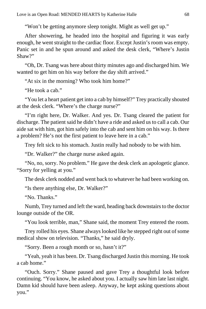"Won't be getting anymore sleep tonight. Might as well get up."

After showering, he headed into the hospital and figuring it was early enough, he went straight to the cardiac floor. Except Justin's room was empty. Panic set in and he spun around and asked the desk clerk, "Where's Justin Shaw?"

"Oh, Dr. Tsang was here about thirty minutes ago and discharged him. We wanted to get him on his way before the day shift arrived."

"At six in the morning? Who took him home?"

"He took a cab."

"You let a heart patient get into a cab by himself?" Trey practically shouted at the desk clerk. "Where's the charge nurse?"

"I'm right here, Dr. Walker. And yes. Dr. Tsang cleared the patient for discharge. The patient said he didn't have a ride and asked us to call a cab. Our aide sat with him, got him safely into the cab and sent him on his way. Is there a problem? He's not the first patient to leave here in a cab."

Trey felt sick to his stomach. Justin really had nobody to be with him.

"Dr. Walker?" the charge nurse asked again.

"No, no, sorry. No problem." He gave the desk clerk an apologetic glance. "Sorry for yelling at you."

The desk clerk nodded and went back to whatever he had been working on.

"Is there anything else, Dr. Walker?"

"No. Thanks."

Numb, Trey turned and left the ward, heading back downstairs to the doctor lounge outside of the OR.

"You look terrible, man," Shane said, the moment Trey entered the room.

Trey rolled his eyes. Shane always looked like he stepped right out of some medical show on television. "Thanks," he said dryly.

"Sorry. Been a rough month or so, hasn't it?"

"Yeah, yeah it has been. Dr. Tsang discharged Justin this morning. He took a cab home."

"Ouch. Sorry." Shane paused and gave Trey a thoughtful look before continuing. "You know, he asked about you. I actually saw him late last night. Damn kid should have been asleep. Anyway, he kept asking questions about you."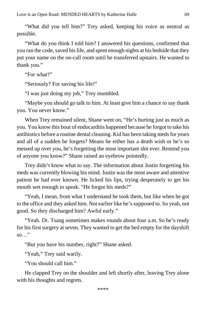"What did you tell him?" Trey asked, keeping his voice as neutral as possible.

"What do you think I told him? I answered his questions, confirmed that you ran the code, saved his life, and spent enough nights at his bedside that they put your name on the on-call room until he transferred upstairs. He wanted to thank you."

"For what?"

"Seriously? For saving his life!"

"I was just doing my job," Trey mumbled.

"Maybe you should go talk to him. At least give him a chance to say thank you. You never know."

When Trey remained silent, Shane went on, "He's hurting just as much as you. You know this bout of endocarditis happened because he forgot to take his antibiotics before a routine dental cleaning. Kid has been taking meds for years and all of a sudden he forgets? Means he either has a death wish or he's so messed up over you, he's forgetting the most important shit ever. Remind you of anyone you know?" Shane raised an eyebrow pointedly.

Trey didn't know what to say. The information about Justin forgetting his meds was currently blowing his mind. Justin was the most aware and attentive patient he had ever known. He licked his lips, trying desperately to get his mouth wet enough to speak. "He forgot his meds?"

"Yeah, I mean, from what I understand he took them, but like when he got to the office and they asked him. Not earlier like he's supposed to. So yeah, not good. So they discharged him? Awful early."

"Yeah. Dr. Tsang sometimes makes rounds about four a.m. So he's ready for his first surgery at seven. They wanted to get the bed empty for the dayshift so…"

"But you have his number, right?" Shane asked.

"Yeah," Trey said warily.

"You should call him."

He clapped Trey on the shoulder and left shortly after, leaving Trey alone with his thoughts and regrets.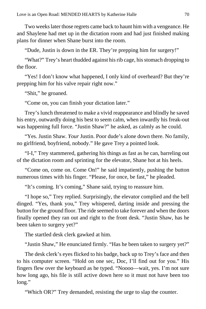Two weeks later those regrets came back to haunt him with a vengeance. He and Shaylene had met up in the dictation room and had just finished making plans for dinner when Shane burst into the room.

"Dude, Justin is down in the ER. They're prepping him for surgery!"

"What?" Trey's heart thudded against his rib cage, his stomach dropping to the floor.

"Yes! I don't know what happened, I only kind of overheard? But they're prepping him for his valve repair right now."

"Shit," he groaned.

"Come on, you can finish your dictation later."

Trey's lunch threatened to make a vivid reappearance and blindly he saved his entry, outwardly doing his best to seem calm, when inwardly his freak-out was happening full force. "Justin Shaw?" he asked, as calmly as he could.

"Yes. Justin Shaw. *Your* Justin. Poor dude's alone down there. No family, no girlfriend, boyfriend, nobody." He gave Trey a pointed look.

"I-I," Trey stammered, gathering his things as fast as he can, barreling out of the dictation room and sprinting for the elevator, Shane hot at his heels.

"Come on, come on. Come On!" he said impatiently, pushing the button numerous times with his finger. "Please, for once, be fast," he pleaded.

"It's coming. It's coming," Shane said, trying to reassure him.

"I hope so," Trey replied. Surprisingly, the elevator complied and the bell dinged. "Yes, thank you," Trey whispered, darting inside and pressing the button for the ground floor. The ride seemed to take forever and when the doors finally opened they ran out and right to the front desk. "Justin Shaw, has he been taken to surgery yet?"

The startled desk clerk gawked at him.

"Justin Shaw," He enunciated firmly. "Has he been taken to surgery yet?"

The desk clerk's eyes flicked to his badge, back up to Trey's face and then to his computer screen. "Hold on one sec, Doc, I'll find out for you." His fingers flew over the keyboard as he typed. "Noooo—wait, yes. I'm not sure how long ago, his file is still active down here so it must not have been too long."

"Which OR?" Trey demanded, resisting the urge to slap the counter.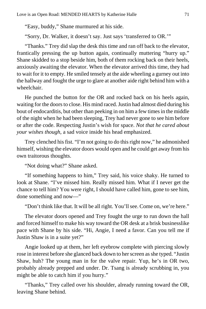"Easy, buddy," Shane murmured at his side.

"Sorry, Dr. Walker, it doesn't say. Just says 'transferred to OR.'"

"Thanks." Trey did slap the desk this time and ran off back to the elevator, frantically pressing the up button again, continually muttering "hurry up." Shane skidded to a stop beside him, both of them rocking back on their heels, anxiously awaiting the elevator. When the elevator arrived this time, they had to wait for it to empty. He smiled tensely at the aide wheeling a gurney out into the hallway and fought the urge to glare at another aide right behind him with a wheelchair.

He punched the button for the OR and rocked back on his heels again, waiting for the doors to close. His mind raced. Justin had almost died during his bout of endocarditis, but other than peeking in on him a few times in the middle of the night when he had been sleeping, Trey had never gone to see him before or after the code. Respecting Justin's wish for space. *Not that he cared about your wishes though,* a sad voice inside his head emphasized.

Trey clenched his fist. "I'm not going to do this right now," he admonished himself, wishing the elevator doors would open and he could get away from his own traitorous thoughts.

"Not doing what?" Shane asked.

"If something happens to him," Trey said, his voice shaky. He turned to look at Shane. "I've missed him. Really missed him. What if I never get the chance to tell him? You were right, I should have called him, gone to see him, done something and now—"

"Don't think like that. It will be all right. You'll see. Come on, we're here."

The elevator doors opened and Trey fought the urge to run down the hall and forced himself to make his way toward the OR desk at a brisk businesslike pace with Shane by his side. "Hi, Angie, I need a favor. Can you tell me if Justin Shaw is in a suite yet?"

Angie looked up at them, her left eyebrow complete with piercing slowly rose in interest before she glanced back down to her screen as she typed. "Justin Shaw, huh? The young man in for the valve repair. Yup, he's in OR two, probably already prepped and under. Dr. Tsang is already scrubbing in, you might be able to catch him if you hurry."

"Thanks," Trey called over his shoulder, already running toward the OR, leaving Shane behind.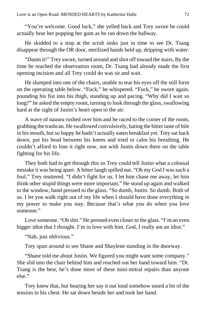"You're welcome. Good luck," she yelled back and Trey swore he could actually hear her popping her gum as he ran down the hallway.

He skidded to a stop at the scrub sinks just in time to see Dr. Tsang disappear through the OR door, sterilized hands held up, dripping with water.

"Damn it!" Trey swore, turned around and shot off toward the stairs. By the time he reached the observation room, Dr. Tsang had already made the first opening incision and all Trey could do was sit and wait.

He slumped into one of the chairs, unable to tear his eyes off the still form on the operating table below. "Fuck," he whispered. "Fuck," he swore again, pounding his fist into his thigh, standing up and pacing. "Why did I wait so long?" he asked the empty room, turning to look through the glass, swallowing hard at the sight of Justin's heart open to the air.

A wave of nausea rushed over him and he raced to the corner of the room, grabbing the trashcan. He swallowed convulsively, hating the bitter taste of bile in his mouth, but so happy he hadn't actually eaten breakfast yet. Trey sat back down, put his head between his knees and tried to calm his breathing. He couldn't afford to lose it right now, not with Justin down there on the table fighting for his life.

They both had to get through this so Trey could tell Justin what a colossal mistake it was being apart. A bitter laugh spilled out. "Oh my God I was such a fool," Trey muttered. "I didn't fight for us. I let him chase me away, let him think other stupid things were more important." He stood up again and walked to the window, hand pressed to the glass. "So dumb, Justin. So dumb. Both of us. I let you walk right out of my life when I should have done everything in my power to make you stay. Because that's what you do when you love someone."

Love someone. "Oh shit." He pressed even closer to the glass. "I'm an even bigger idiot that I thought. I'm in love with him. God, I really am an idiot."

"Nah, just oblivious."

Trey spun around to see Shane and Shaylene standing in the doorway.

"Shane told me about Justin. We figured you might want some company." She slid into the chair behind him and reached out her hand toward him. "Dr. Tsang is the best, he's done more of these mini-mitral repairs than anyone else."

Trey knew that, but hearing her say it out loud somehow eased a bit of the tension in his chest. He sat down beside her and took her hand.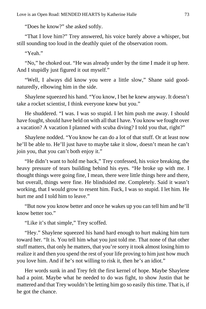"Does he know?" she asked softly.

"That I love him?" Trey answered, his voice barely above a whisper, but still sounding too loud in the deathly quiet of the observation room.

"Yeah."

"No," he choked out. "He was already under by the time I made it up here. And I stupidly just figured it out myself."

"Well, I always did know you were a little slow," Shane said goodnaturedly, elbowing him in the side.

Shaylene squeezed his hand. "You know, I bet he knew anyway. It doesn't take a rocket scientist, I think everyone knew but you."

He shuddered. "I was. I was so stupid. I let him push me away. I should have fought, should have held on with all that I have. You know we fought over a vacation? A vacation I planned with scuba diving? I told you that, right?"

Shaylene nodded. "You know he can do a lot of that stuff. Or at least now he'll be able to. He'll just have to maybe take it slow, doesn't mean he can't join you, that you can't both enjoy it."

"He didn't want to hold me back," Trey confessed, his voice breaking, the heavy pressure of tears building behind his eyes. "He broke up with me. I thought things were going fine, I mean, there were little things here and there, but overall, things were fine. He blindsided me. Completely. Said it wasn't working, that I would grow to resent him. Fuck, I was so stupid. I let him. He hurt me and I told him to leave."

"But now you know better and once he wakes up you can tell him and he'll know better too."

"Like it's that simple," Trey scoffed.

"Hey." Shaylene squeezed his hand hard enough to hurt making him turn toward her. "It is. You tell him what you just told me. That none of that other stuff matters, that only he matters, that you're sorry it took almost losing him to realize it and then you spend the rest of your life proving to him just how much you love him. And if he's not willing to risk it, then he's an idiot."

Her words sunk in and Trey felt the first kernel of hope. Maybe Shaylene had a point. Maybe what he needed to do was fight, to show Justin that he mattered and that Trey wouldn't be letting him go so easily this time. That is, if he got the chance.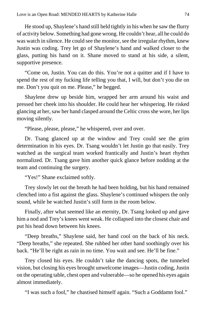He stood up, Shaylene's hand still held tightly in his when he saw the flurry of activity below. Something had gone wrong. He couldn't hear, all he could do was watch in silence. He could see the monitor, see the irregular rhythm, knew Justin was coding. Trey let go of Shaylene's hand and walked closer to the glass, putting his hand on it. Shane moved to stand at his side, a silent, supportive presence.

"Come on, Justin. You can do this. You're not a quitter and if I have to spend the rest of my fucking life telling you that, I will, but don't you die on me. Don't you quit on me. Please," he begged.

Shaylene drew up beside him, wrapped her arm around his waist and pressed her cheek into his shoulder. He could hear her whispering. He risked glancing at her, saw her hand clasped around the Celtic cross she wore, her lips moving silently.

"Please, please, please," he whispered, over and over.

Dr. Tsang glanced up at the window and Trey could see the grim determination in his eyes. Dr. Tsang wouldn't let Justin go that easily. Trey watched as the surgical team worked frantically and Justin's heart rhythm normalized. Dr. Tsang gave him another quick glance before nodding at the team and continuing the surgery.

"Yes!" Shane exclaimed softly.

Trey slowly let out the breath he had been holding, but his hand remained clenched into a fist against the glass. Shaylene's continued whispers the only sound, while he watched Justin's still form in the room below.

Finally, after what seemed like an eternity, Dr. Tsang looked up and gave him a nod and Trey's knees went weak. He collapsed into the closest chair and put his head down between his knees.

"Deep breaths," Shaylene said, her hand cool on the back of his neck. "Deep breaths," she repeated. She rubbed her other hand soothingly over his back. "He'll be right as rain in no time. You wait and see. He'll be fine."

Trey closed his eyes. He couldn't take the dancing spots, the tunneled vision, but closing his eyes brought unwelcome images—Justin coding, Justin on the operating table, chest open and vulnerable—so he opened his eyes again almost immediately.

"I was such a fool," he chastised himself again. "Such a Goddamn fool."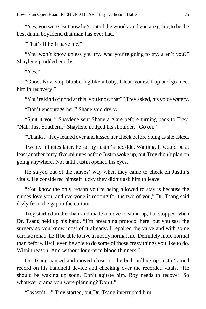"Yes, you were. But now he's out of the woods, and you are going to be the best damn boyfriend that man has ever had."

"That's if he'll have me."

"You won't know unless you try. And you're going to try, aren't you?" Shaylene prodded gently.

" $Y_{ex}$ "

"Good. Now stop blubbering like a baby. Clean yourself up and go meet him in recovery."

"You're kind of good at this, you know that?" Trey asked, his voice watery.

"Don't encourage her," Shane said dryly.

"Shut it you." Shaylene sent Shane a glare before turning back to Trey. "Nah. Just Southern." Shaylene nudged his shoulder. "Go on."

"Thanks." Trey leaned over and kissed her cheek before doing as she asked.

Twenty minutes later, he sat by Justin's bedside. Waiting. It would be at least another forty-five minutes before Justin woke up, but Trey didn't plan on going anywhere. Not until Justin opened his eyes.

He stayed out of the nurses' way when they came to check on Justin's vitals. He considered himself lucky they didn't ask him to leave.

"You know the only reason you're being allowed to stay is because the nurses love you, and everyone is rooting for the two of you," Dr. Tsang said dryly from the gap in the curtain.

Trey startled in the chair and made a move to stand up, but stopped when Dr. Tsang held up his hand. "I'm breaching protocol here, but you saw the surgery so you know most of it already. I repaired the valve and with some cardiac rehab, he'll be able to live a mostly normal life. Definitely more normal than before. He'll even be able to do some of those crazy things you like to do. Within reason. And without long-term blood thinners."

Dr. Tsang paused and moved closer to the bed, pulling up Justin's med record on his handheld device and checking over the recorded vitals. "He should be waking up soon. Don't agitate him. Boy needs to recover. So whatever drama you were planning? Don't."

"I wasn't—" Trey started, but Dr. Tsang interrupted him.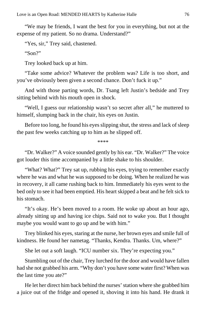"We may be friends, I want the best for you in everything, but not at the expense of my patient. So no drama. Understand?"

"Yes, sir," Trey said, chastened.

"Son?"

Trey looked back up at him.

"Take some advice? Whatever the problem was? Life is too short, and you've obviously been given a second chance. Don't fuck it up."

And with those parting words, Dr. Tsang left Justin's bedside and Trey sitting behind with his mouth open in shock.

"Well, I guess our relationship wasn't so secret after all," he muttered to himself, slumping back in the chair, his eyes on Justin.

Before too long, he found his eyes slipping shut, the stress and lack of sleep the past few weeks catching up to him as he slipped off.

\*\*\*\*

"Dr. Walker?" A voice sounded gently by his ear. "Dr. Walker?" The voice got louder this time accompanied by a little shake to his shoulder.

"What? What?" Trey sat up, rubbing his eyes, trying to remember exactly where he was and what he was supposed to be doing. When he realized he was in recovery, it all came rushing back to him. Immediately his eyes went to the bed only to see it had been emptied. His heart skipped a beat and he felt sick to his stomach.

"It's okay. He's been moved to a room. He woke up about an hour ago, already sitting up and having ice chips. Said not to wake you. But I thought maybe you would want to go up and be with him."

Trey blinked his eyes, staring at the nurse, her brown eyes and smile full of kindness. He found her nametag. "Thanks, Kendra. Thanks. Um, where?"

She let out a soft laugh. "ICU number six. They're expecting you."

Stumbling out of the chair, Trey lurched for the door and would have fallen had she not grabbed his arm. "Why don't you have some water first? When was the last time you ate?"

He let her direct him back behind the nurses' station where she grabbed him a juice out of the fridge and opened it, shoving it into his hand. He drank it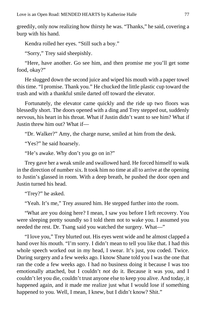greedily, only now realizing how thirsty he was. "Thanks," he said, covering a burp with his hand.

Kendra rolled her eyes. "Still such a boy."

"Sorry," Trey said sheepishly.

"Here, have another. Go see him, and then promise me you'll get some food, okay?"

He slugged down the second juice and wiped his mouth with a paper towel this time. "I promise. Thank you." He chucked the little plastic cup toward the trash and with a thankful smile darted off toward the elevator.

Fortunately, the elevator came quickly and the ride up two floors was blessedly short. The doors opened with a ding and Trey stepped out, suddenly nervous, his heart in his throat. What if Justin didn't want to see him? What if Justin threw him out? What if—

"Dr. Walker?" Amy, the charge nurse, smiled at him from the desk.

"Yes?" he said hoarsely.

"He's awake. Why don't you go on in?"

Trey gave her a weak smile and swallowed hard. He forced himself to walk in the direction of number six. It took him no time at all to arrive at the opening to Justin's glassed in room. With a deep breath, he pushed the door open and Justin turned his head.

"Trey?" he asked.

"Yeah. It's me," Trey assured him. He stepped further into the room.

"What are you doing here? I mean, I saw you before I left recovery. You were sleeping pretty soundly so I told them not to wake you. I assumed you needed the rest. Dr. Tsang said you watched the surgery. What—"

"I love you," Trey blurted out. His eyes went wide and he almost clapped a hand over his mouth. "I'm sorry. I didn't mean to tell you like that. I had this whole speech worked out in my head, I swear. It's just, you coded. Twice. During surgery and a few weeks ago. I know Shane told you I was the one that ran the code a few weeks ago. I had no business doing it because I was too emotionally attached, but I couldn't *not* do it. Because it was you, and I couldn't let you die, couldn't trust anyone else to keep you alive. And today, it happened again, and it made me realize just what I would lose if something happened to you. Well, I mean, I knew, but I didn't know? Shit."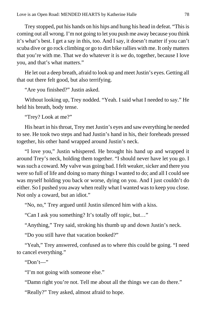Trey stopped, put his hands on his hips and hung his head in defeat. "This is coming out all wrong. I'm not going to let you push me away because you think it's what's best. I get a say in this, too. And I say, it doesn't matter if you can't scuba dive or go rock climbing or go to dirt bike rallies with me. It only matters that you're with me. That we do whatever it is *we* do, together, because I love you, and that's what matters."

He let out a deep breath, afraid to look up and meet Justin's eyes. Getting all that out there felt good, but also terrifying.

"Are you finished?" Justin asked.

Without looking up, Trey nodded. "Yeah. I said what I needed to say." He held his breath, body tense.

"Trey? Look at me?"

His heart in his throat, Trey met Justin's eyes and saw everything he needed to see. He took two steps and had Justin's hand in his, their foreheads pressed together, his other hand wrapped around Justin's neck.

"I love you," Justin whispered. He brought his hand up and wrapped it around Trey's neck, holding them together. "I should never have let you go. I was such a coward. My valve was going bad. I felt weaker, sicker and there you were so full of life and doing so many things I wanted to do; and all I could see was myself holding you back or worse, dying on you. And I just couldn't do either. So I pushed you away when really what I wanted was to keep you close. Not only a coward, but an idiot."

"No, no," Trey argued until Justin silenced him with a kiss.

"Can I ask you something? It's totally off topic, but…"

"Anything," Trey said, stroking his thumb up and down Justin's neck.

"Do you still have that vacation booked?"

"Yeah," Trey answered, confused as to where this could be going. "I need to cancel everything."

"Don't—"

"I'm not going with someone else."

"Damn right you're not. Tell me about all the things we can do there."

"Really?" Trey asked, almost afraid to hope.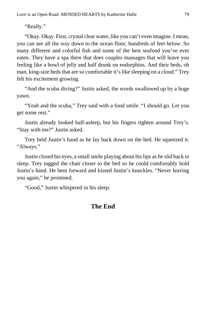"Really."

"Okay. Okay. First, crystal clear water, like you can't even imagine. I mean, you can see all the way down to the ocean floor, hundreds of feet below. So many different and colorful fish and some of the best seafood you've ever eaten. They have a spa there that does couples massages that will leave you feeling like a bowl of jelly and half drunk on endorphins. And their beds, oh man, king-size beds that are so comfortable it's like sleeping on a cloud." Trey felt his excitement growing.

"And the scuba diving?" Justin asked, the words swallowed up by a huge yawn.

"Yeah and the scuba," Trey said with a fond smile. "I should go. Let you get some rest."

Justin already looked half-asleep, but his fingers tighten around Trey's. "Stay with me?" Justin asked.

Trey held Justin's hand as he lay back down on the bed. He squeezed it. "Always."

Justin closed his eyes, a small smile playing about his lips as he slid back to sleep. Trey tugged the chair closer to the bed so he could comfortably hold Justin's hand. He bent forward and kissed Justin's knuckles. "Never leaving you again," he promised.

"Good," Justin whispered in his sleep.

## **The End**